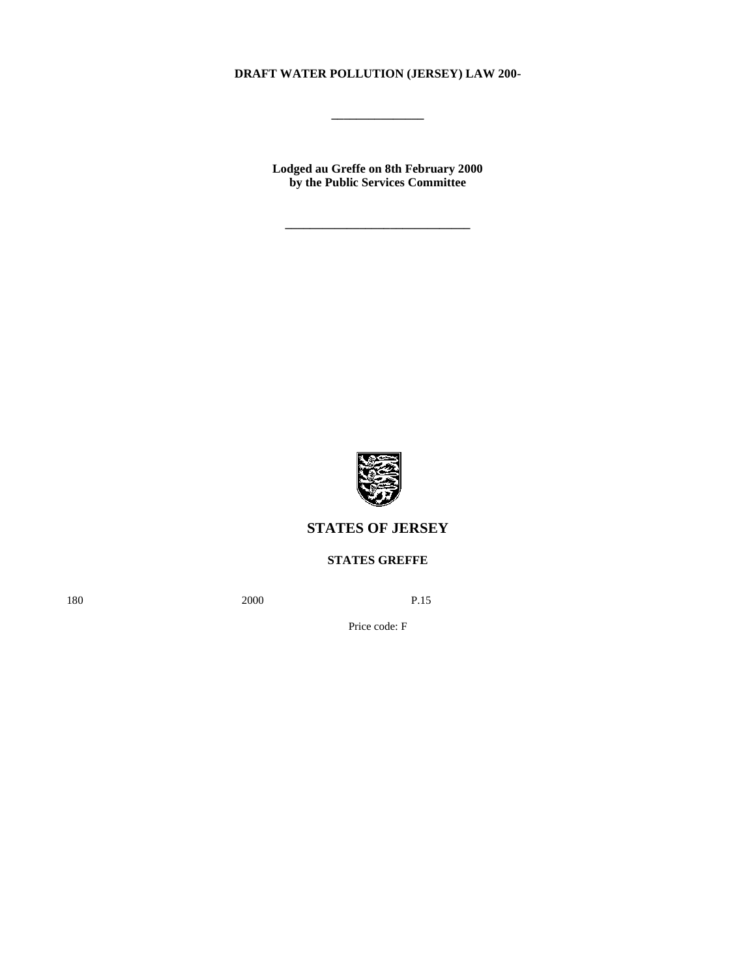# **DRAFT WATER POLLUTION (JERSEY) LAW 200-**

**\_\_\_\_\_\_\_\_\_\_\_\_\_\_\_**

**Lodged au Greffe on 8th February 2000 by the Public Services Committee**

**\_\_\_\_\_\_\_\_\_\_\_\_\_\_\_\_\_\_\_\_\_\_\_\_\_\_\_\_\_\_**



# **STATES OF JERSEY**

# **STATES GREFFE**

180 2000 P.15

Price code: F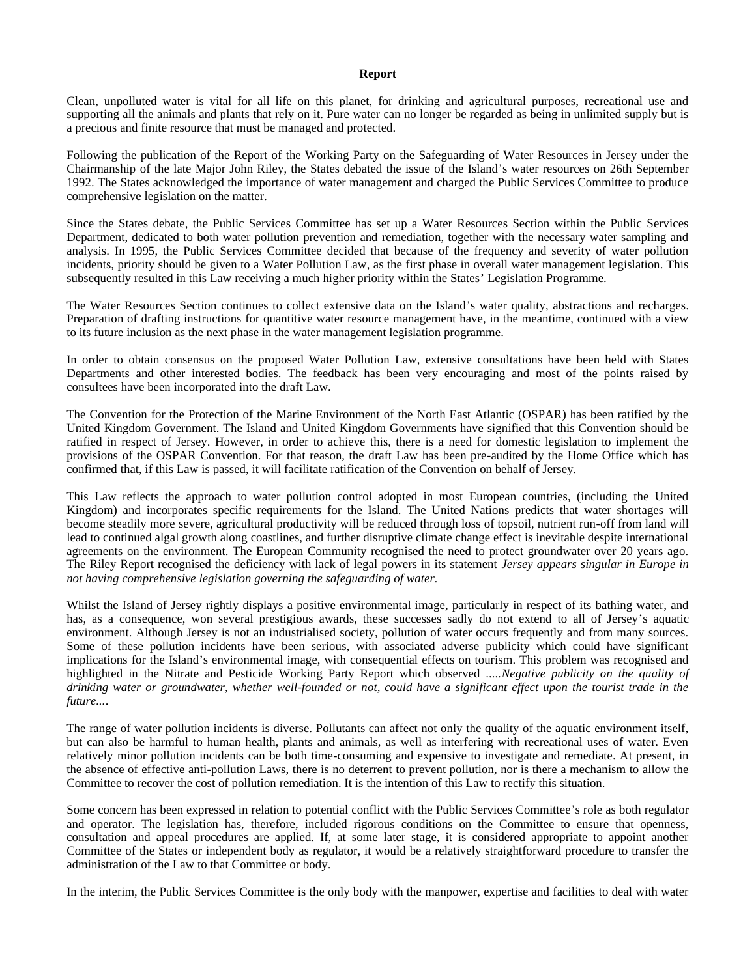#### **Report**

Clean, unpolluted water is vital for all life on this planet, for drinking and agricultural purposes, recreational use and supporting all the animals and plants that rely on it. Pure water can no longer be regarded as being in unlimited supply but is a precious and finite resource that must be managed and protected.

Following the publication of the Report of the Working Party on the Safeguarding of Water Resources in Jersey under the Chairmanship of the late Major John Riley, the States debated the issue of the Island's water resources on 26th September 1992. The States acknowledged the importance of water management and charged the Public Services Committee to produce comprehensive legislation on the matter.

Since the States debate, the Public Services Committee has set up a Water Resources Section within the Public Services Department, dedicated to both water pollution prevention and remediation, together with the necessary water sampling and analysis. In 1995, the Public Services Committee decided that because of the frequency and severity of water pollution incidents, priority should be given to a Water Pollution Law, as the first phase in overall water management legislation. This subsequently resulted in this Law receiving a much higher priority within the States' Legislation Programme.

The Water Resources Section continues to collect extensive data on the Island's water quality, abstractions and recharges. Preparation of drafting instructions for quantitive water resource management have, in the meantime, continued with a view to its future inclusion as the next phase in the water management legislation programme.

In order to obtain consensus on the proposed Water Pollution Law, extensive consultations have been held with States Departments and other interested bodies. The feedback has been very encouraging and most of the points raised by consultees have been incorporated into the draft Law.

The Convention for the Protection of the Marine Environment of the North East Atlantic (OSPAR) has been ratified by the United Kingdom Government. The Island and United Kingdom Governments have signified that this Convention should be ratified in respect of Jersey. However, in order to achieve this, there is a need for domestic legislation to implement the provisions of the OSPAR Convention. For that reason, the draft Law has been pre-audited by the Home Office which has confirmed that, if this Law is passed, it will facilitate ratification of the Convention on behalf of Jersey.

This Law reflects the approach to water pollution control adopted in most European countries, (including the United Kingdom) and incorporates specific requirements for the Island. The United Nations predicts that water shortages will become steadily more severe, agricultural productivity will be reduced through loss of topsoil, nutrient run-off from land will lead to continued algal growth along coastlines, and further disruptive climate change effect is inevitable despite international agreements on the environment. The European Community recognised the need to protect groundwater over 20 years ago. The Riley Report recognised the deficiency with lack of legal powers in its statement *Jersey appears singular in Europe in not having comprehensive legislation governing the safeguarding of water.*

Whilst the Island of Jersey rightly displays a positive environmental image, particularly in respect of its bathing water, and has, as a consequence, won several prestigious awards, these successes sadly do not extend to all of Jersey's aquatic environment. Although Jersey is not an industrialised society, pollution of water occurs frequently and from many sources. Some of these pollution incidents have been serious, with associated adverse publicity which could have significant implications for the Island's environmental image, with consequential effects on tourism. This problem was recognised and highlighted in the Nitrate and Pesticide Working Party Report which observed .....*Negative publicity on the quality of drinking water or groundwater, whether well-founded or not, could have a significant effect upon the tourist trade in the future...*.

The range of water pollution incidents is diverse. Pollutants can affect not only the quality of the aquatic environment itself, but can also be harmful to human health, plants and animals, as well as interfering with recreational uses of water. Even relatively minor pollution incidents can be both time-consuming and expensive to investigate and remediate. At present, in the absence of effective anti-pollution Laws, there is no deterrent to prevent pollution, nor is there a mechanism to allow the Committee to recover the cost of pollution remediation. It is the intention of this Law to rectify this situation.

Some concern has been expressed in relation to potential conflict with the Public Services Committee's role as both regulator and operator. The legislation has, therefore, included rigorous conditions on the Committee to ensure that openness, consultation and appeal procedures are applied. If, at some later stage, it is considered appropriate to appoint another Committee of the States or independent body as regulator, it would be a relatively straightforward procedure to transfer the administration of the Law to that Committee or body.

In the interim, the Public Services Committee is the only body with the manpower, expertise and facilities to deal with water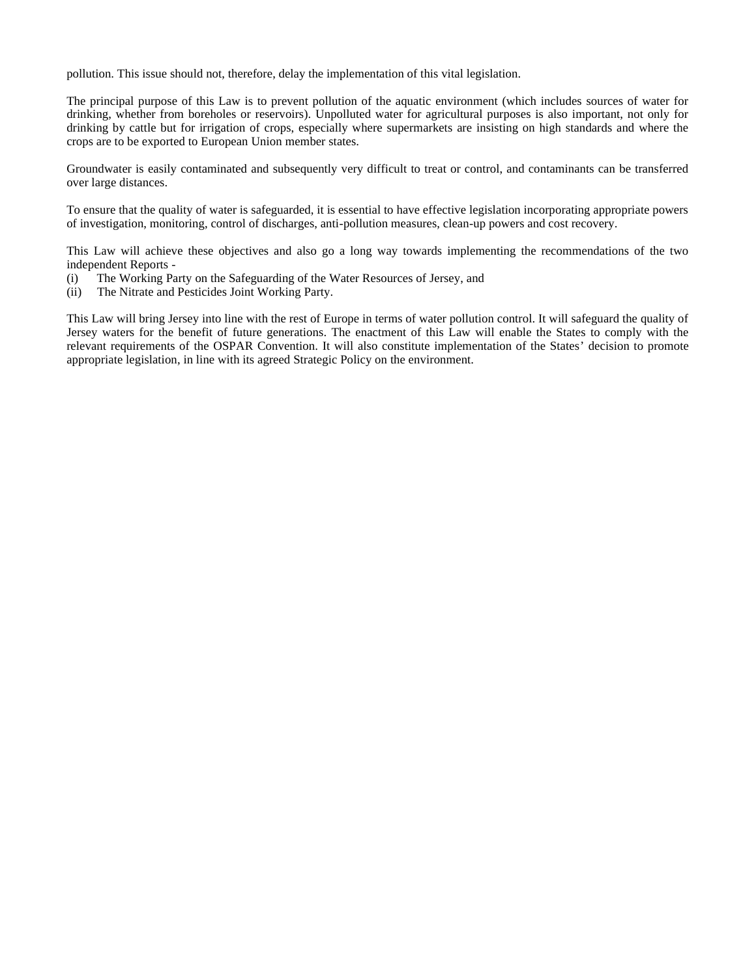pollution. This issue should not, therefore, delay the implementation of this vital legislation.

The principal purpose of this Law is to prevent pollution of the aquatic environment (which includes sources of water for drinking, whether from boreholes or reservoirs). Unpolluted water for agricultural purposes is also important, not only for drinking by cattle but for irrigation of crops, especially where supermarkets are insisting on high standards and where the crops are to be exported to European Union member states.

Groundwater is easily contaminated and subsequently very difficult to treat or control, and contaminants can be transferred over large distances.

To ensure that the quality of water is safeguarded, it is essential to have effective legislation incorporating appropriate powers of investigation, monitoring, control of discharges, anti-pollution measures, clean-up powers and cost recovery.

This Law will achieve these objectives and also go a long way towards implementing the recommendations of the two independent Reports -

- (i) The Working Party on the Safeguarding of the Water Resources of Jersey, and
- (ii) The Nitrate and Pesticides Joint Working Party.

This Law will bring Jersey into line with the rest of Europe in terms of water pollution control. It will safeguard the quality of Jersey waters for the benefit of future generations. The enactment of this Law will enable the States to comply with the relevant requirements of the OSPAR Convention. It will also constitute implementation of the States' decision to promote appropriate legislation, in line with its agreed Strategic Policy on the environment.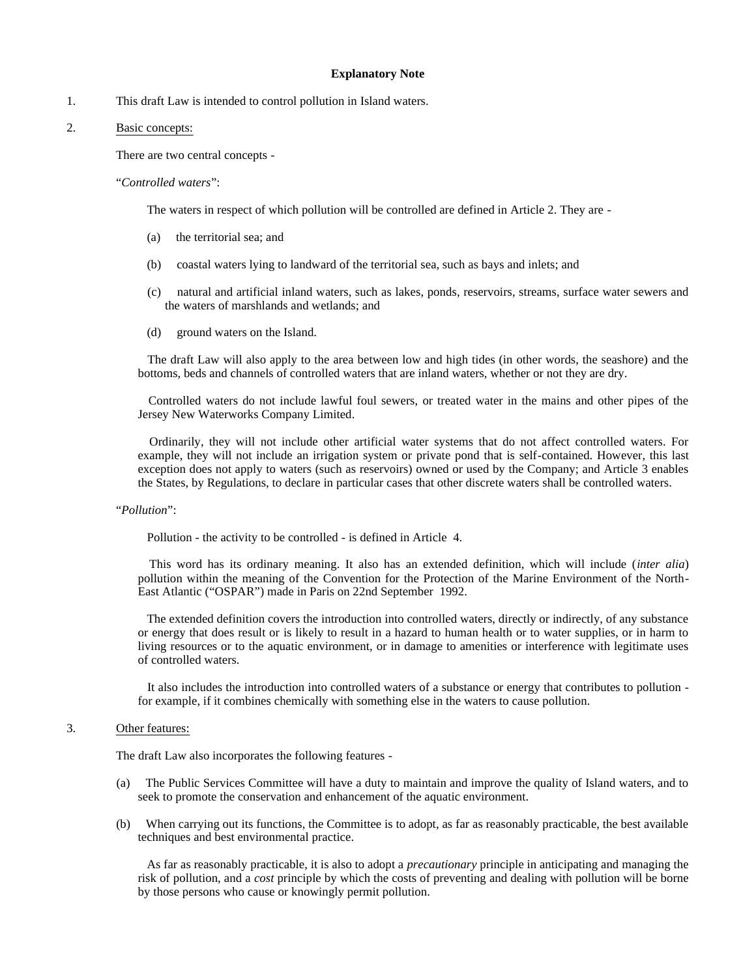#### **Explanatory Note**

1. This draft Law is intended to control pollution in Island waters.

# 2. Basic concepts:

There are two central concepts -

"*Controlled waters*":

The waters in respect of which pollution will be controlled are defined in Article 2. They are -

- (a) the territorial sea; and
- (b) coastal waters lying to landward of the territorial sea, such as bays and inlets; and
- (c) natural and artificial inland waters, such as lakes, ponds, reservoirs, streams, surface water sewers and the waters of marshlands and wetlands; and
- (d) ground waters on the Island.

 The draft Law will also apply to the area between low and high tides (in other words, the seashore) and the bottoms, beds and channels of controlled waters that are inland waters, whether or not they are dry.

 Controlled waters do not include lawful foul sewers, or treated water in the mains and other pipes of the Jersey New Waterworks Company Limited.

 Ordinarily, they will not include other artificial water systems that do not affect controlled waters. For example, they will not include an irrigation system or private pond that is self-contained. However, this last exception does not apply to waters (such as reservoirs) owned or used by the Company; and Article 3 enables the States, by Regulations, to declare in particular cases that other discrete waters shall be controlled waters.

### "*Pollution*":

Pollution - the activity to be controlled - is defined in Article 4.

 This word has its ordinary meaning. It also has an extended definition, which will include (*inter alia*) pollution within the meaning of the Convention for the Protection of the Marine Environment of the North-East Atlantic ("OSPAR") made in Paris on 22nd September 1992.

 The extended definition covers the introduction into controlled waters, directly or indirectly, of any substance or energy that does result or is likely to result in a hazard to human health or to water supplies, or in harm to living resources or to the aquatic environment, or in damage to amenities or interference with legitimate uses of controlled waters.

 It also includes the introduction into controlled waters of a substance or energy that contributes to pollution for example, if it combines chemically with something else in the waters to cause pollution.

#### 3. Other features:

The draft Law also incorporates the following features -

- (a) The Public Services Committee will have a duty to maintain and improve the quality of Island waters, and to seek to promote the conservation and enhancement of the aquatic environment.
- (b) When carrying out its functions, the Committee is to adopt, as far as reasonably practicable, the best available techniques and best environmental practice.

 As far as reasonably practicable, it is also to adopt a *precautionary* principle in anticipating and managing the risk of pollution, and a *cost* principle by which the costs of preventing and dealing with pollution will be borne by those persons who cause or knowingly permit pollution.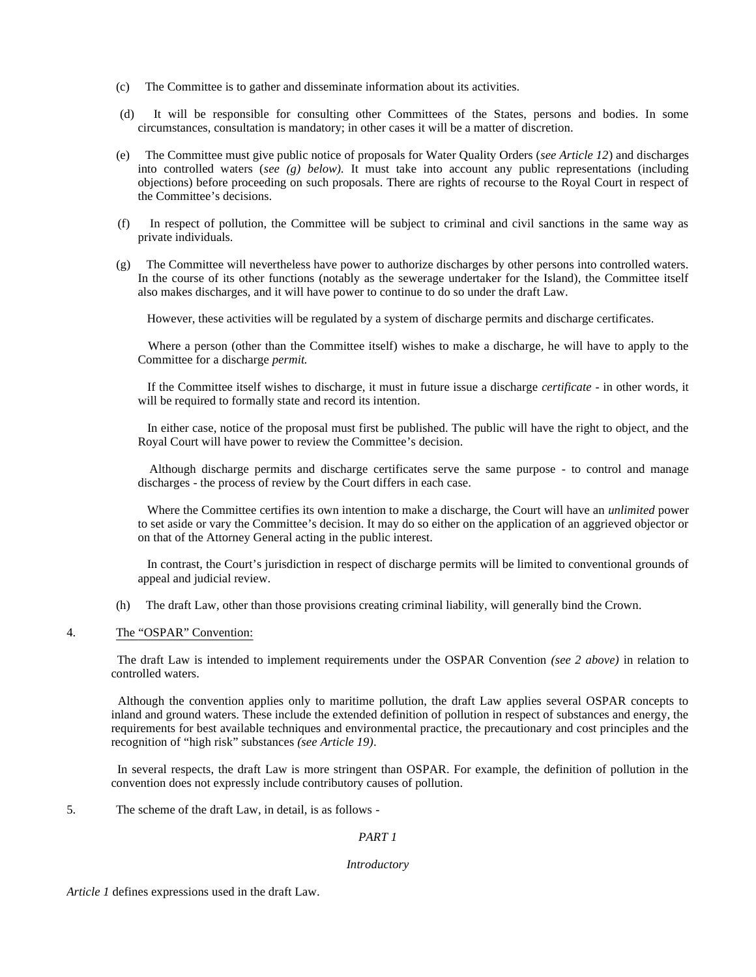- (c) The Committee is to gather and disseminate information about its activities.
- (d) It will be responsible for consulting other Committees of the States, persons and bodies. In some circumstances, consultation is mandatory; in other cases it will be a matter of discretion.
- (e) The Committee must give public notice of proposals for Water Quality Orders (*see Article 12*) and discharges into controlled waters (*see (g) below).* It must take into account any public representations (including objections) before proceeding on such proposals. There are rights of recourse to the Royal Court in respect of the Committee's decisions.
- (f) In respect of pollution, the Committee will be subject to criminal and civil sanctions in the same way as private individuals.
- (g) The Committee will nevertheless have power to authorize discharges by other persons into controlled waters. In the course of its other functions (notably as the sewerage undertaker for the Island), the Committee itself also makes discharges, and it will have power to continue to do so under the draft Law.

However, these activities will be regulated by a system of discharge permits and discharge certificates.

 Where a person (other than the Committee itself) wishes to make a discharge, he will have to apply to the Committee for a discharge *permit.*

 If the Committee itself wishes to discharge, it must in future issue a discharge *certificate* - in other words, it will be required to formally state and record its intention.

 In either case, notice of the proposal must first be published. The public will have the right to object, and the Royal Court will have power to review the Committee's decision.

 Although discharge permits and discharge certificates serve the same purpose - to control and manage discharges - the process of review by the Court differs in each case.

 Where the Committee certifies its own intention to make a discharge, the Court will have an *unlimited* power to set aside or vary the Committee's decision. It may do so either on the application of an aggrieved objector or on that of the Attorney General acting in the public interest.

 In contrast, the Court's jurisdiction in respect of discharge permits will be limited to conventional grounds of appeal and judicial review.

- (h) The draft Law, other than those provisions creating criminal liability, will generally bind the Crown.
- 4. The "OSPAR" Convention:

 The draft Law is intended to implement requirements under the OSPAR Convention *(see 2 above)* in relation to controlled waters.

 Although the convention applies only to maritime pollution, the draft Law applies several OSPAR concepts to inland and ground waters. These include the extended definition of pollution in respect of substances and energy, the requirements for best available techniques and environmental practice, the precautionary and cost principles and the recognition of "high risk" substances *(see Article 19)*.

 In several respects, the draft Law is more stringent than OSPAR. For example, the definition of pollution in the convention does not expressly include contributory causes of pollution.

5. The scheme of the draft Law, in detail, is as follows -

# *PART 1*

#### *Introductory*

*Article 1* defines expressions used in the draft Law.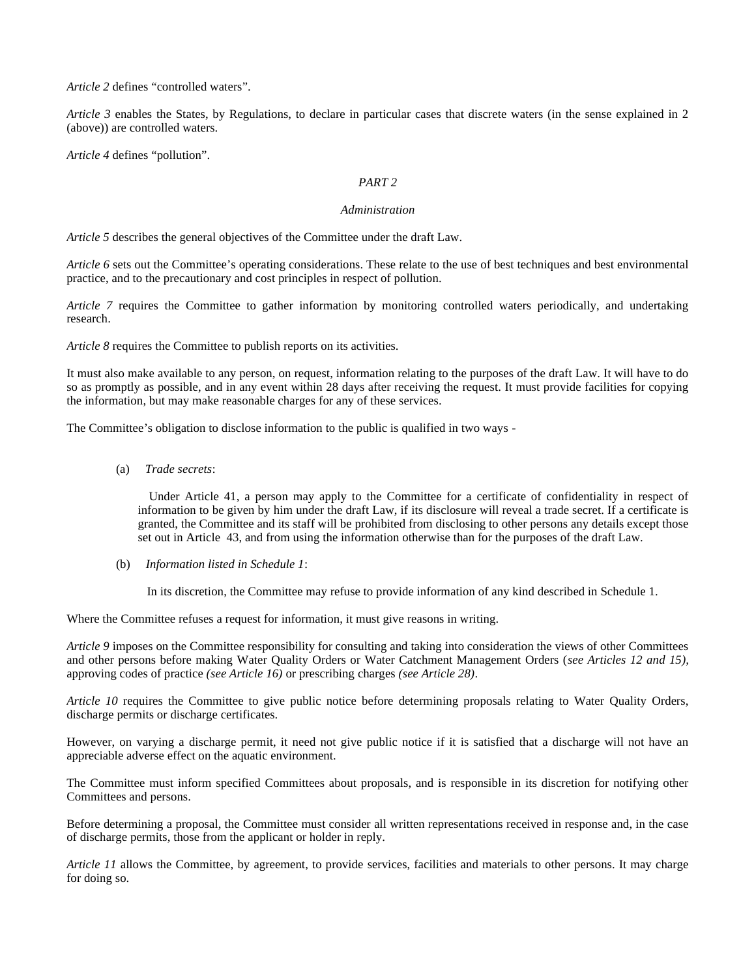*Article 2* defines "controlled waters".

*Article 3* enables the States, by Regulations, to declare in particular cases that discrete waters (in the sense explained in 2 (above)) are controlled waters.

*Article 4* defines "pollution".

# *PART 2*

# *Administration*

*Article 5* describes the general objectives of the Committee under the draft Law.

*Article 6* sets out the Committee's operating considerations. These relate to the use of best techniques and best environmental practice, and to the precautionary and cost principles in respect of pollution.

*Article 7* requires the Committee to gather information by monitoring controlled waters periodically, and undertaking research.

*Article 8* requires the Committee to publish reports on its activities.

It must also make available to any person, on request, information relating to the purposes of the draft Law. It will have to do so as promptly as possible, and in any event within 28 days after receiving the request. It must provide facilities for copying the information, but may make reasonable charges for any of these services.

The Committee's obligation to disclose information to the public is qualified in two ways -

(a) *Trade secrets*:

 Under Article 41, a person may apply to the Committee for a certificate of confidentiality in respect of information to be given by him under the draft Law, if its disclosure will reveal a trade secret. If a certificate is granted, the Committee and its staff will be prohibited from disclosing to other persons any details except those set out in Article 43, and from using the information otherwise than for the purposes of the draft Law.

(b) *Information listed in Schedule 1*:

In its discretion, the Committee may refuse to provide information of any kind described in Schedule 1.

Where the Committee refuses a request for information, it must give reasons in writing.

*Article 9* imposes on the Committee responsibility for consulting and taking into consideration the views of other Committees and other persons before making Water Quality Orders or Water Catchment Management Orders (*see Articles 12 and 15),* approving codes of practice *(see Article 16)* or prescribing charges *(see Article 28)*.

*Article 10* requires the Committee to give public notice before determining proposals relating to Water Quality Orders, discharge permits or discharge certificates.

However, on varying a discharge permit, it need not give public notice if it is satisfied that a discharge will not have an appreciable adverse effect on the aquatic environment.

The Committee must inform specified Committees about proposals, and is responsible in its discretion for notifying other Committees and persons.

Before determining a proposal, the Committee must consider all written representations received in response and, in the case of discharge permits, those from the applicant or holder in reply.

*Article 11* allows the Committee, by agreement, to provide services, facilities and materials to other persons. It may charge for doing so.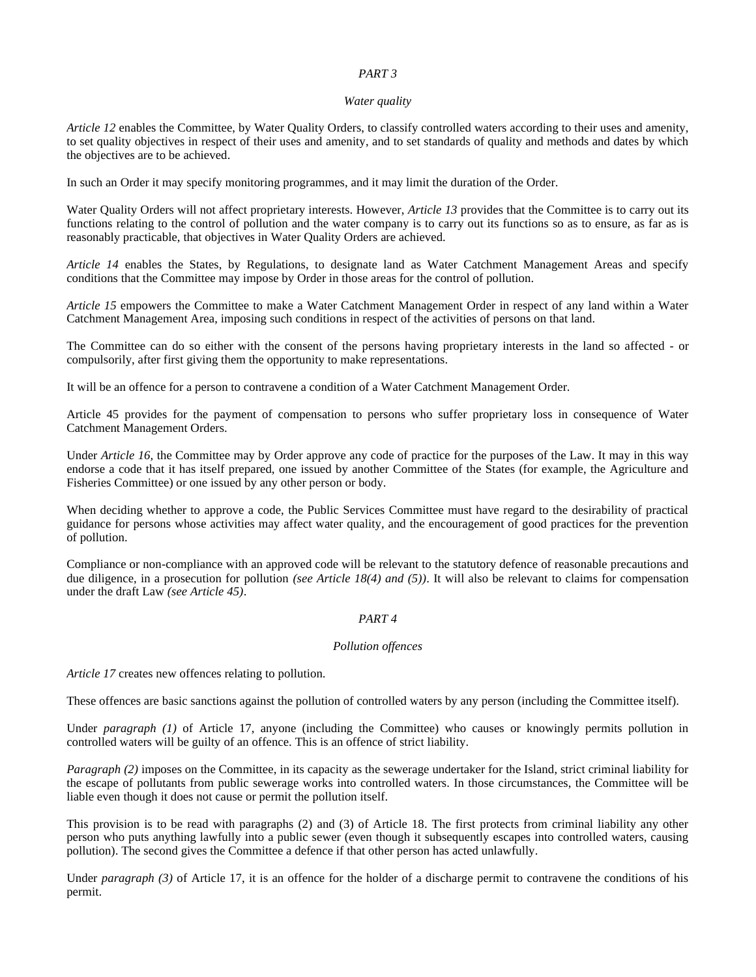# *PART 3*

### *Water quality*

*Article 12* enables the Committee, by Water Quality Orders, to classify controlled waters according to their uses and amenity, to set quality objectives in respect of their uses and amenity, and to set standards of quality and methods and dates by which the objectives are to be achieved.

In such an Order it may specify monitoring programmes, and it may limit the duration of the Order.

Water Quality Orders will not affect proprietary interests. However, *Article 13* provides that the Committee is to carry out its functions relating to the control of pollution and the water company is to carry out its functions so as to ensure, as far as is reasonably practicable, that objectives in Water Quality Orders are achieved.

*Article 14* enables the States, by Regulations, to designate land as Water Catchment Management Areas and specify conditions that the Committee may impose by Order in those areas for the control of pollution.

*Article 15* empowers the Committee to make a Water Catchment Management Order in respect of any land within a Water Catchment Management Area, imposing such conditions in respect of the activities of persons on that land.

The Committee can do so either with the consent of the persons having proprietary interests in the land so affected - or compulsorily, after first giving them the opportunity to make representations.

It will be an offence for a person to contravene a condition of a Water Catchment Management Order.

Article 45 provides for the payment of compensation to persons who suffer proprietary loss in consequence of Water Catchment Management Orders.

Under *Article 16,* the Committee may by Order approve any code of practice for the purposes of the Law. It may in this way endorse a code that it has itself prepared, one issued by another Committee of the States (for example, the Agriculture and Fisheries Committee) or one issued by any other person or body.

When deciding whether to approve a code, the Public Services Committee must have regard to the desirability of practical guidance for persons whose activities may affect water quality, and the encouragement of good practices for the prevention of pollution.

Compliance or non-compliance with an approved code will be relevant to the statutory defence of reasonable precautions and due diligence, in a prosecution for pollution *(see Article 18(4) and (5))*. It will also be relevant to claims for compensation under the draft Law *(see Article 45)*.

# *PART 4*

# *Pollution offences*

*Article 17* creates new offences relating to pollution.

These offences are basic sanctions against the pollution of controlled waters by any person (including the Committee itself).

Under *paragraph (1)* of Article 17, anyone (including the Committee) who causes or knowingly permits pollution in controlled waters will be guilty of an offence. This is an offence of strict liability.

*Paragraph (2)* imposes on the Committee, in its capacity as the sewerage undertaker for the Island, strict criminal liability for the escape of pollutants from public sewerage works into controlled waters. In those circumstances, the Committee will be liable even though it does not cause or permit the pollution itself.

This provision is to be read with paragraphs (2) and (3) of Article 18. The first protects from criminal liability any other person who puts anything lawfully into a public sewer (even though it subsequently escapes into controlled waters, causing pollution). The second gives the Committee a defence if that other person has acted unlawfully.

Under *paragraph (3)* of Article 17, it is an offence for the holder of a discharge permit to contravene the conditions of his permit.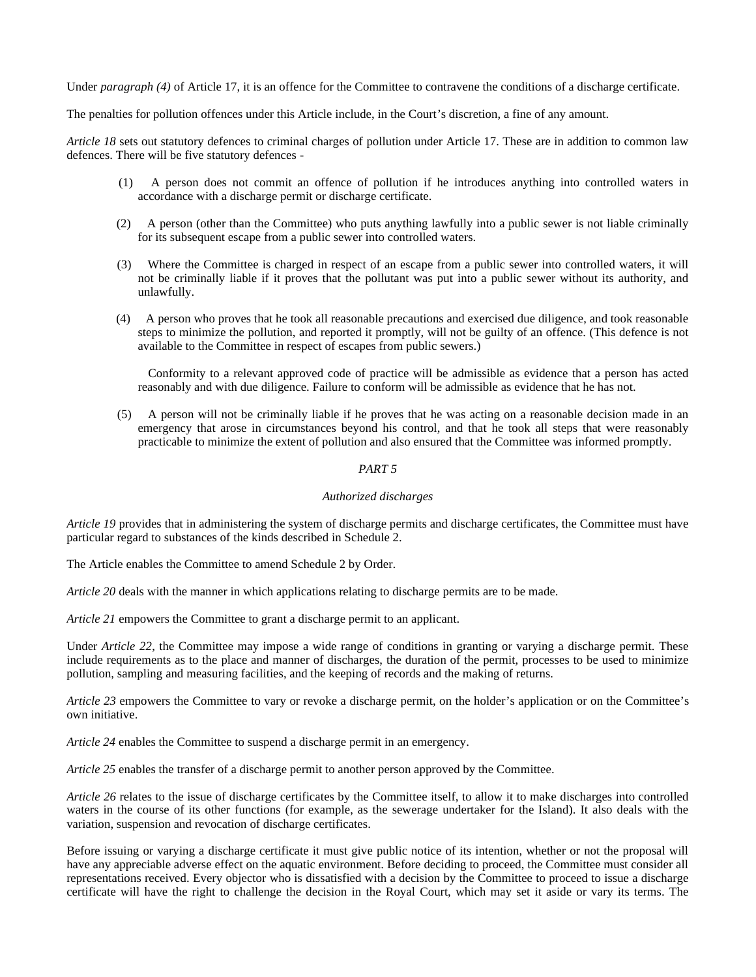Under *paragraph (4)* of Article 17, it is an offence for the Committee to contravene the conditions of a discharge certificate.

The penalties for pollution offences under this Article include, in the Court's discretion, a fine of any amount.

*Article 18* sets out statutory defences to criminal charges of pollution under Article 17. These are in addition to common law defences. There will be five statutory defences -

- (1) A person does not commit an offence of pollution if he introduces anything into controlled waters in accordance with a discharge permit or discharge certificate.
- (2) A person (other than the Committee) who puts anything lawfully into a public sewer is not liable criminally for its subsequent escape from a public sewer into controlled waters.
- (3) Where the Committee is charged in respect of an escape from a public sewer into controlled waters, it will not be criminally liable if it proves that the pollutant was put into a public sewer without its authority, and unlawfully.
- (4) A person who proves that he took all reasonable precautions and exercised due diligence, and took reasonable steps to minimize the pollution, and reported it promptly, will not be guilty of an offence. (This defence is not available to the Committee in respect of escapes from public sewers.)

 Conformity to a relevant approved code of practice will be admissible as evidence that a person has acted reasonably and with due diligence. Failure to conform will be admissible as evidence that he has not.

 (5) A person will not be criminally liable if he proves that he was acting on a reasonable decision made in an emergency that arose in circumstances beyond his control, and that he took all steps that were reasonably practicable to minimize the extent of pollution and also ensured that the Committee was informed promptly.

# *PART 5*

# *Authorized discharges*

*Article 19* provides that in administering the system of discharge permits and discharge certificates, the Committee must have particular regard to substances of the kinds described in Schedule 2.

The Article enables the Committee to amend Schedule 2 by Order.

*Article 20* deals with the manner in which applications relating to discharge permits are to be made.

*Article 21* empowers the Committee to grant a discharge permit to an applicant.

Under *Article 22*, the Committee may impose a wide range of conditions in granting or varying a discharge permit. These include requirements as to the place and manner of discharges, the duration of the permit, processes to be used to minimize pollution, sampling and measuring facilities, and the keeping of records and the making of returns.

*Article 23* empowers the Committee to vary or revoke a discharge permit, on the holder's application or on the Committee's own initiative.

*Article 24* enables the Committee to suspend a discharge permit in an emergency.

*Article 25* enables the transfer of a discharge permit to another person approved by the Committee.

*Article 26* relates to the issue of discharge certificates by the Committee itself, to allow it to make discharges into controlled waters in the course of its other functions (for example, as the sewerage undertaker for the Island). It also deals with the variation, suspension and revocation of discharge certificates.

Before issuing or varying a discharge certificate it must give public notice of its intention, whether or not the proposal will have any appreciable adverse effect on the aquatic environment. Before deciding to proceed, the Committee must consider all representations received. Every objector who is dissatisfied with a decision by the Committee to proceed to issue a discharge certificate will have the right to challenge the decision in the Royal Court, which may set it aside or vary its terms. The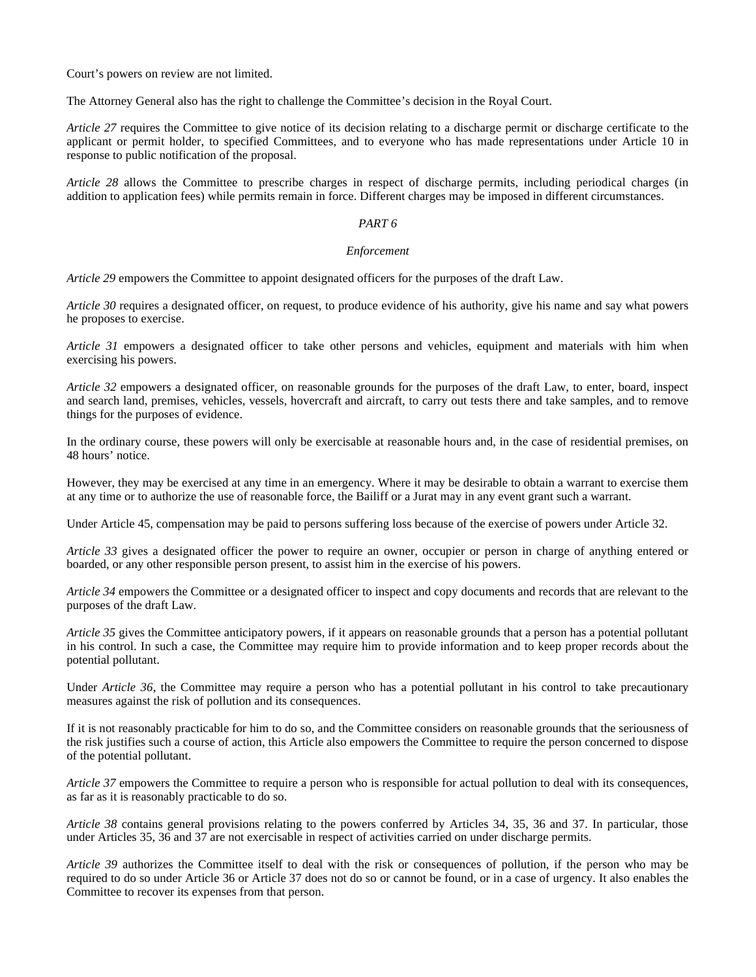Court's powers on review are not limited.

The Attorney General also has the right to challenge the Committee's decision in the Royal Court.

*Article 27* requires the Committee to give notice of its decision relating to a discharge permit or discharge certificate to the applicant or permit holder, to specified Committees, and to everyone who has made representations under Article 10 in response to public notification of the proposal.

*Article 28* allows the Committee to prescribe charges in respect of discharge permits, including periodical charges (in addition to application fees) while permits remain in force. Different charges may be imposed in different circumstances.

# *PART 6*

# *Enforcement*

*Article 29* empowers the Committee to appoint designated officers for the purposes of the draft Law.

*Article 30* requires a designated officer, on request, to produce evidence of his authority, give his name and say what powers he proposes to exercise.

*Article 31* empowers a designated officer to take other persons and vehicles, equipment and materials with him when exercising his powers.

*Article 32* empowers a designated officer, on reasonable grounds for the purposes of the draft Law, to enter, board, inspect and search land, premises, vehicles, vessels, hovercraft and aircraft, to carry out tests there and take samples, and to remove things for the purposes of evidence.

In the ordinary course, these powers will only be exercisable at reasonable hours and, in the case of residential premises, on 48 hours' notice.

However, they may be exercised at any time in an emergency. Where it may be desirable to obtain a warrant to exercise them at any time or to authorize the use of reasonable force, the Bailiff or a Jurat may in any event grant such a warrant.

Under Article 45, compensation may be paid to persons suffering loss because of the exercise of powers under Article 32.

*Article 33* gives a designated officer the power to require an owner, occupier or person in charge of anything entered or boarded, or any other responsible person present, to assist him in the exercise of his powers.

*Article 34* empowers the Committee or a designated officer to inspect and copy documents and records that are relevant to the purposes of the draft Law.

*Article 35* gives the Committee anticipatory powers, if it appears on reasonable grounds that a person has a potential pollutant in his control. In such a case, the Committee may require him to provide information and to keep proper records about the potential pollutant.

Under *Article 36*, the Committee may require a person who has a potential pollutant in his control to take precautionary measures against the risk of pollution and its consequences.

If it is not reasonably practicable for him to do so, and the Committee considers on reasonable grounds that the seriousness of the risk justifies such a course of action, this Article also empowers the Committee to require the person concerned to dispose of the potential pollutant.

*Article 37* empowers the Committee to require a person who is responsible for actual pollution to deal with its consequences, as far as it is reasonably practicable to do so.

*Article 38* contains general provisions relating to the powers conferred by Articles 34, 35, 36 and 37. In particular, those under Articles 35, 36 and 37 are not exercisable in respect of activities carried on under discharge permits.

*Article 39* authorizes the Committee itself to deal with the risk or consequences of pollution, if the person who may be required to do so under Article 36 or Article 37 does not do so or cannot be found, or in a case of urgency. It also enables the Committee to recover its expenses from that person.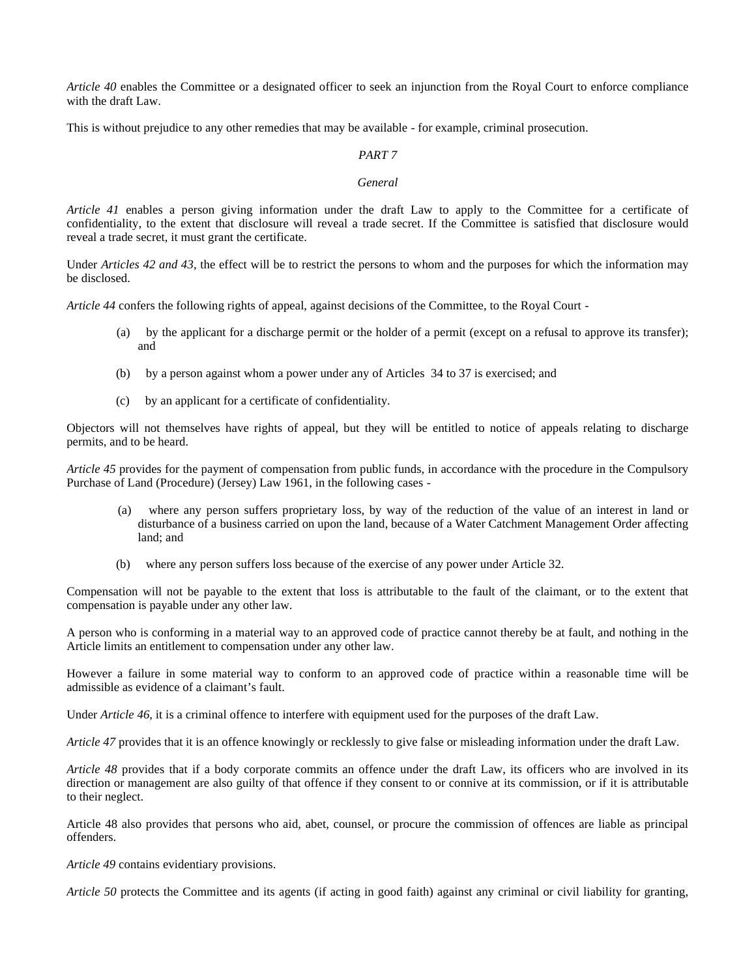*Article 40* enables the Committee or a designated officer to seek an injunction from the Royal Court to enforce compliance with the draft Law.

This is without prejudice to any other remedies that may be available - for example, criminal prosecution.

# *PART 7*

# *General*

*Article 41* enables a person giving information under the draft Law to apply to the Committee for a certificate of confidentiality, to the extent that disclosure will reveal a trade secret. If the Committee is satisfied that disclosure would reveal a trade secret, it must grant the certificate.

Under *Articles 42 and 43*, the effect will be to restrict the persons to whom and the purposes for which the information may be disclosed.

*Article 44* confers the following rights of appeal, against decisions of the Committee, to the Royal Court -

- (a) by the applicant for a discharge permit or the holder of a permit (except on a refusal to approve its transfer); and
- (b) by a person against whom a power under any of Articles 34 to 37 is exercised; and
- (c) by an applicant for a certificate of confidentiality.

Objectors will not themselves have rights of appeal, but they will be entitled to notice of appeals relating to discharge permits, and to be heard.

*Article 45* provides for the payment of compensation from public funds, in accordance with the procedure in the Compulsory Purchase of Land (Procedure) (Jersey) Law 1961, in the following cases -

- where any person suffers proprietary loss, by way of the reduction of the value of an interest in land or disturbance of a business carried on upon the land, because of a Water Catchment Management Order affecting land; and
- (b) where any person suffers loss because of the exercise of any power under Article 32.

Compensation will not be payable to the extent that loss is attributable to the fault of the claimant, or to the extent that compensation is payable under any other law.

A person who is conforming in a material way to an approved code of practice cannot thereby be at fault, and nothing in the Article limits an entitlement to compensation under any other law.

However a failure in some material way to conform to an approved code of practice within a reasonable time will be admissible as evidence of a claimant's fault.

Under *Article 46,* it is a criminal offence to interfere with equipment used for the purposes of the draft Law.

*Article 47* provides that it is an offence knowingly or recklessly to give false or misleading information under the draft Law.

*Article 48* provides that if a body corporate commits an offence under the draft Law, its officers who are involved in its direction or management are also guilty of that offence if they consent to or connive at its commission, or if it is attributable to their neglect.

Article 48 also provides that persons who aid, abet, counsel, or procure the commission of offences are liable as principal offenders.

*Article 49* contains evidentiary provisions.

*Article 50* protects the Committee and its agents (if acting in good faith) against any criminal or civil liability for granting,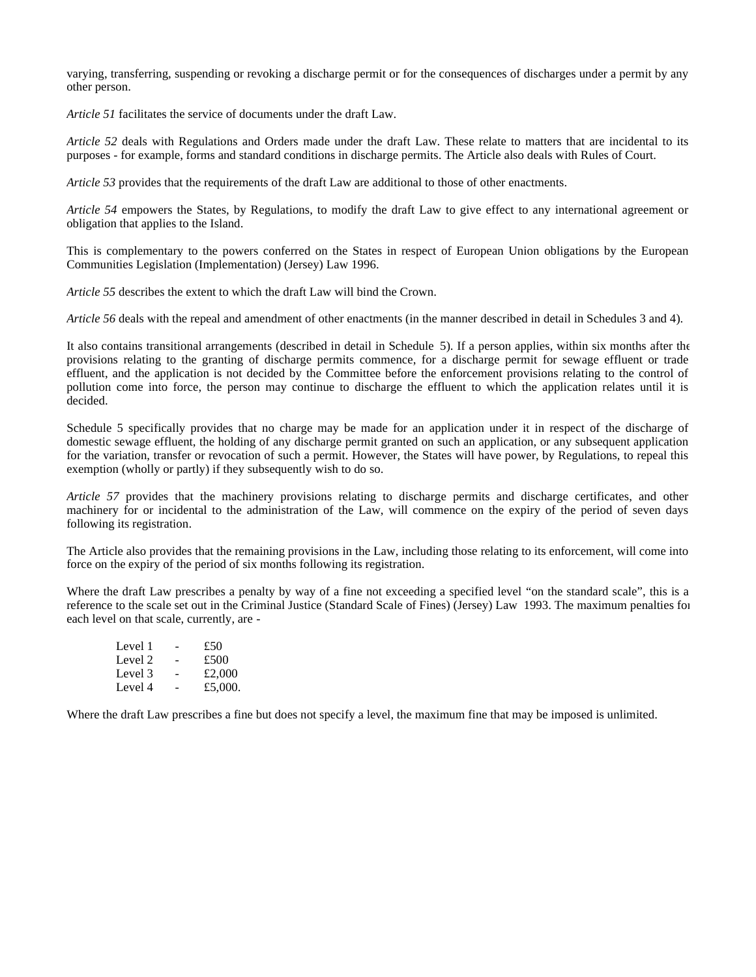varying, transferring, suspending or revoking a discharge permit or for the consequences of discharges under a permit by any other person.

*Article 51* facilitates the service of documents under the draft Law.

*Article 52* deals with Regulations and Orders made under the draft Law. These relate to matters that are incidental to its purposes - for example, forms and standard conditions in discharge permits. The Article also deals with Rules of Court.

*Article 53* provides that the requirements of the draft Law are additional to those of other enactments.

*Article 54* empowers the States, by Regulations, to modify the draft Law to give effect to any international agreement or obligation that applies to the Island.

This is complementary to the powers conferred on the States in respect of European Union obligations by the European Communities Legislation (Implementation) (Jersey) Law 1996.

*Article 55* describes the extent to which the draft Law will bind the Crown.

*Article 56* deals with the repeal and amendment of other enactments (in the manner described in detail in Schedules 3 and 4).

It also contains transitional arrangements (described in detail in Schedule 5). If a person applies, within six months after the provisions relating to the granting of discharge permits commence, for a discharge permit for sewage effluent or trade effluent, and the application is not decided by the Committee before the enforcement provisions relating to the control of pollution come into force, the person may continue to discharge the effluent to which the application relates until it is decided.

Schedule 5 specifically provides that no charge may be made for an application under it in respect of the discharge of domestic sewage effluent, the holding of any discharge permit granted on such an application, or any subsequent application for the variation, transfer or revocation of such a permit. However, the States will have power, by Regulations, to repeal this exemption (wholly or partly) if they subsequently wish to do so.

*Article 57* provides that the machinery provisions relating to discharge permits and discharge certificates, and other machinery for or incidental to the administration of the Law, will commence on the expiry of the period of seven days following its registration.

The Article also provides that the remaining provisions in the Law, including those relating to its enforcement, will come into force on the expiry of the period of six months following its registration.

Where the draft Law prescribes a penalty by way of a fine not exceeding a specified level "on the standard scale", this is a reference to the scale set out in the Criminal Justice (Standard Scale of Fines) (Jersey) Law 1993. The maximum penalties for each level on that scale, currently, are -

| Level 1 | $\sim$ | £50     |
|---------|--------|---------|
| Level 2 | $\sim$ | £500    |
| Level 3 | $\sim$ | £2,000  |
| Level 4 | ۰.     | £5,000. |

Where the draft Law prescribes a fine but does not specify a level, the maximum fine that may be imposed is unlimited.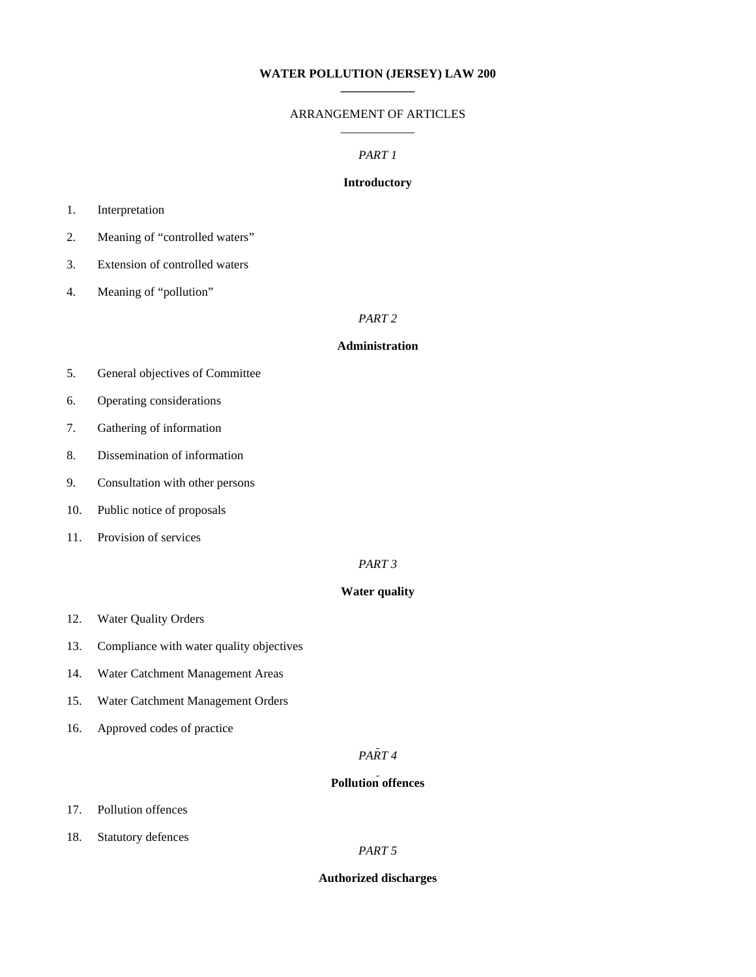# **WATER POLLUTION (JERSEY) LAW 200 \_\_\_\_\_\_\_\_\_\_\_\_**

# ARRANGEMENT OF ARTICLES \_\_\_\_\_\_\_\_\_\_\_\_

#### *PART 1*

# **Introductory**

# 1. Interpretation

- 2. Meaning of "controlled waters"
- 3. Extension of controlled waters
- 4. Meaning of "pollution"

# *PART 2*

# **Administration**

- 5. General objectives of Committee
- 6. Operating considerations
- 7. Gathering of information
- 8. Dissemination of information
- 9. Consultation with other persons
- 10. Public notice of proposals
- 11. Provision of services

# *PART 3*

# **Water quality**

- 12. Water Quality Orders
- 13. Compliance with water quality objectives
- 14. Water Catchment Management Areas
- 15. Water Catchment Management Orders
- 16. Approved codes of practice

# *PART 4*

# **Pollution offences**

- 17. Pollution offences
- 18. Statutory defences

#### *PART 5*

### **Authorized discharges**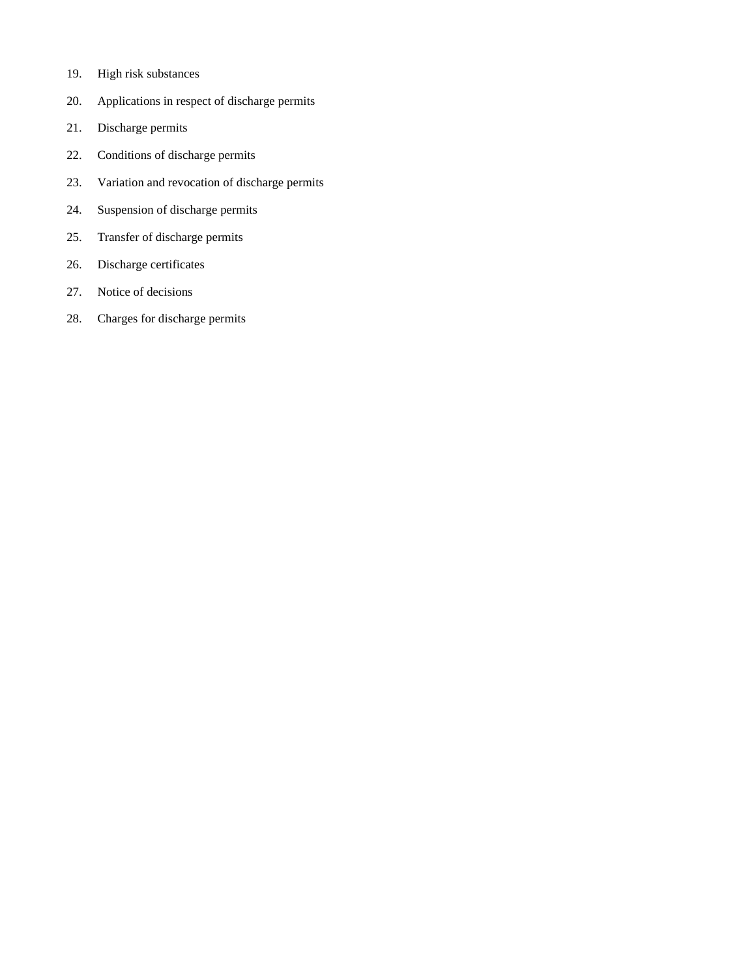- 19. High risk substances
- 20. Applications in respect of discharge permits
- 21. Discharge permits
- 22. Conditions of discharge permits
- 23. Variation and revocation of discharge permits
- 24. Suspension of discharge permits
- 25. Transfer of discharge permits
- 26. Discharge certificates
- 27. Notice of decisions
- 28. Charges for discharge permits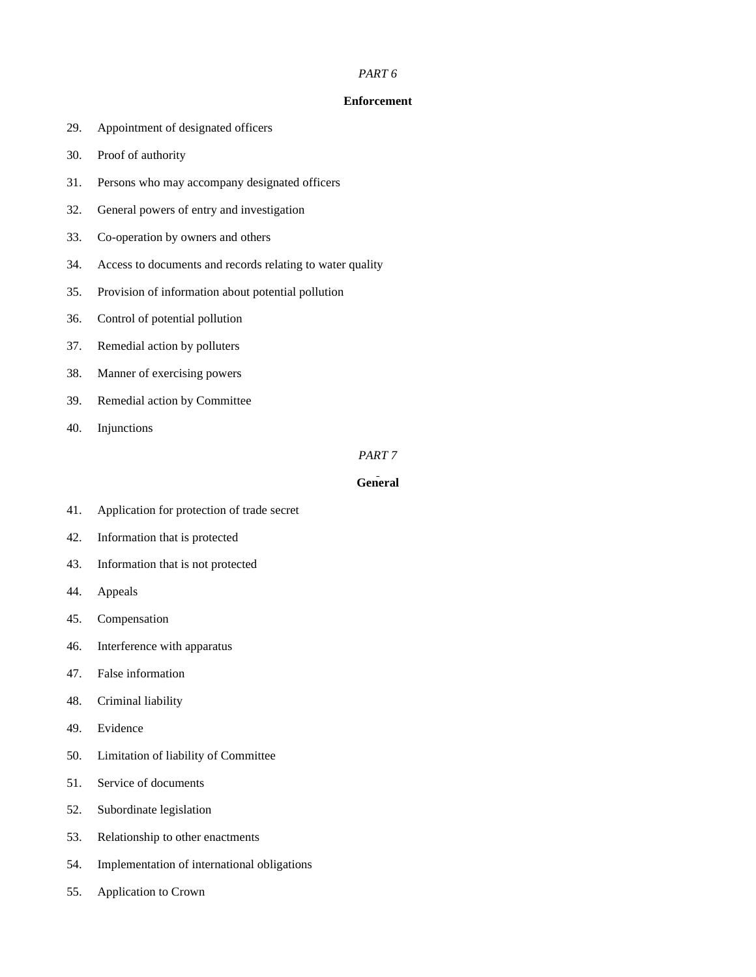### *PART 6*

# **Enforcement**

- 29. Appointment of designated officers
- 30. Proof of authority
- 31. Persons who may accompany designated officers
- 32. General powers of entry and investigation
- 33. Co-operation by owners and others
- 34. Access to documents and records relating to water quality
- 35. Provision of information about potential pollution
- 36. Control of potential pollution
- 37. Remedial action by polluters
- 38. Manner of exercising powers
- 39. Remedial action by Committee
- 40. Injunctions

# *PART 7*

# **General**

- 41. Application for protection of trade secret
- 42. Information that is protected
- 43. Information that is not protected
- 44. Appeals
- 45. Compensation
- 46. Interference with apparatus
- 47. False information
- 48. Criminal liability
- 49. Evidence
- 50. Limitation of liability of Committee
- 51. Service of documents
- 52. Subordinate legislation
- 53. Relationship to other enactments
- 54. Implementation of international obligations
- 55. Application to Crown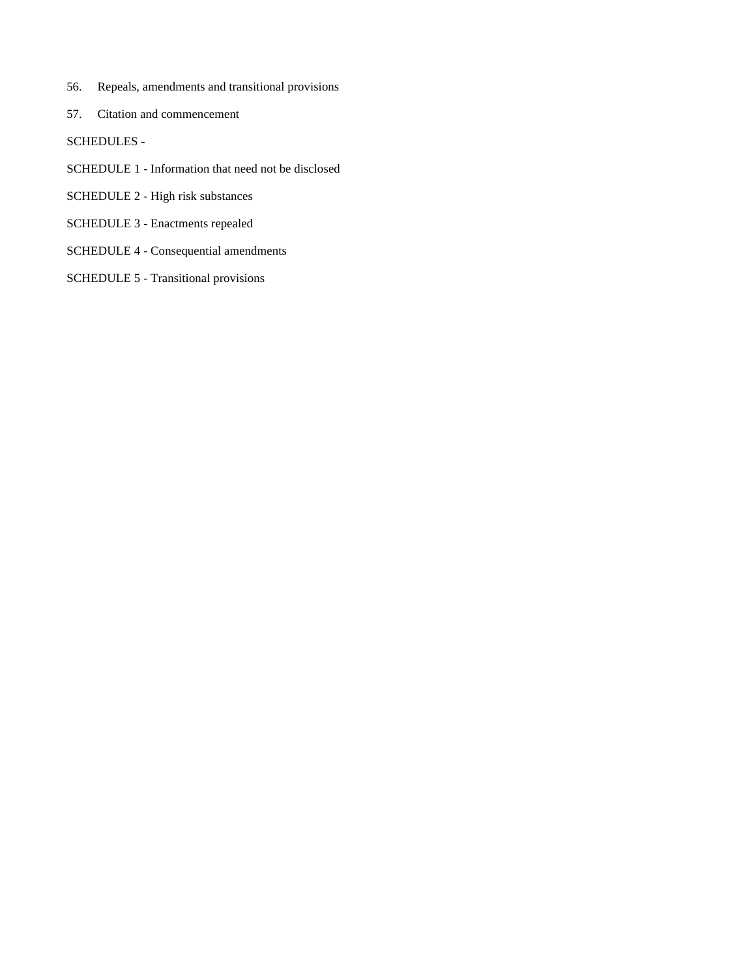- 56. Repeals, amendments and transitional provisions
- 57. Citation and commencement
- SCHEDULES -
- SCHEDULE 1 Information that need not be disclosed
- SCHEDULE 2 High risk substances
- SCHEDULE 3 Enactments repealed
- SCHEDULE 4 Consequential amendments
- SCHEDULE 5 Transitional provisions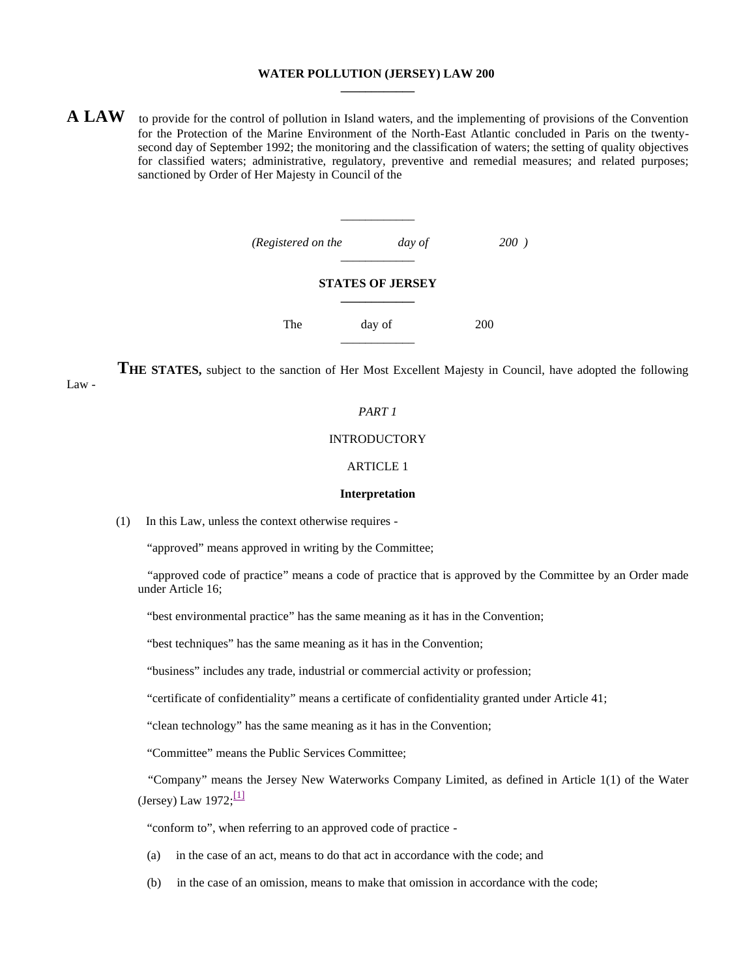# **WATER POLLUTION (JERSEY) LAW 200 \_\_\_\_\_\_\_\_\_\_\_\_**

**A LAW** to provide for the control of pollution in Island waters, and the implementing of provisions of the Convention for the Protection of the Marine Environment of the North-East Atlantic concluded in Paris on the twentysecond day of September 1992; the monitoring and the classification of waters; the setting of quality objectives for classified waters; administrative, regulatory, preventive and remedial measures; and related purposes; sanctioned by Order of Her Majesty in Council of the

\_\_\_\_\_\_\_\_\_\_\_\_

| (Registered on the | day of                  | 200) |
|--------------------|-------------------------|------|
|                    | <b>STATES OF JERSEY</b> |      |
| The                | day of                  | 200  |

**THE STATES,** subject to the sanction of Her Most Excellent Majesty in Council, have adopted the following

# *PART 1*

#### INTRODUCTORY

# ARTICLE 1

#### **Interpretation**

(1) In this Law, unless the context otherwise requires -

"approved" means approved in writing by the Committee;

 "approved code of practice" means a code of practice that is approved by the Committee by an Order made under Article 16;

"best environmental practice" has the same meaning as it has in the Convention;

"best techniques" has the same meaning as it has in the Convention;

"business" includes any trade, industrial or commercial activity or profession;

"certificate of confidentiality" means a certificate of confidentiality granted under Article 41;

"clean technology" has the same meaning as it has in the Convention;

"Committee" means the Public Services Committee;

 "Company" means the Jersey New Waterworks Company Limited, as defined in Article 1(1) of the Water (Jersey) Law  $1972;\frac{[1]}{[1]}$ 

"conform to", when referring to an approved code of practice -

- (a) in the case of an act, means to do that act in accordance with the code; and
- (b) in the case of an omission, means to make that omission in accordance with the code;

Law -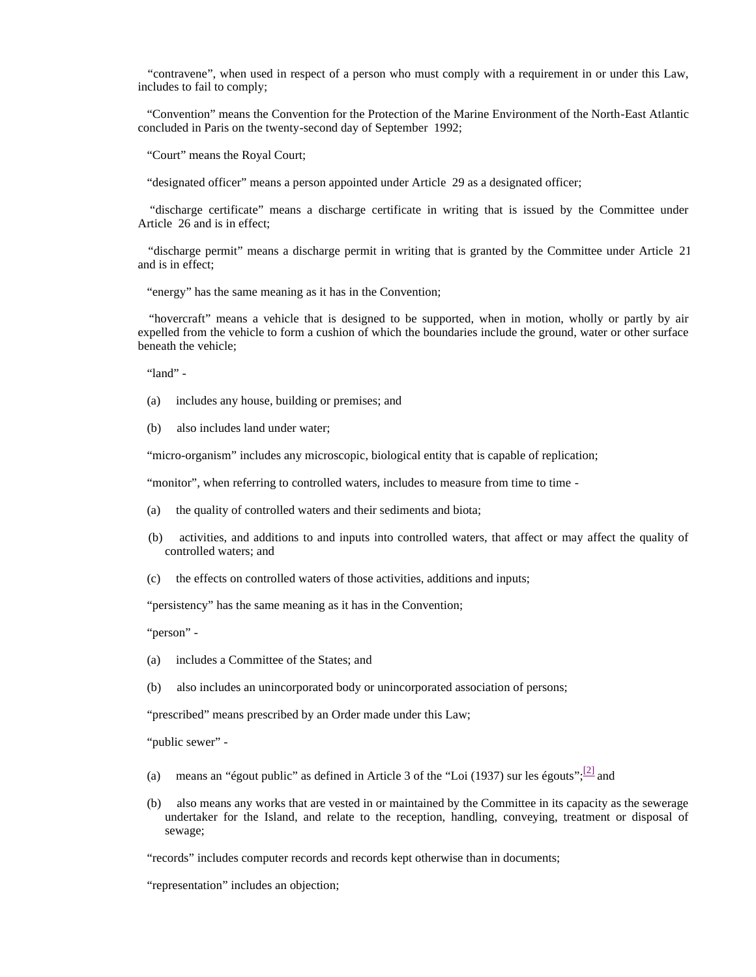"contravene", when used in respect of a person who must comply with a requirement in or under this Law, includes to fail to comply;

 "Convention" means the Convention for the Protection of the Marine Environment of the North-East Atlantic concluded in Paris on the twenty-second day of September 1992;

"Court" means the Royal Court;

"designated officer" means a person appointed under Article 29 as a designated officer;

 "discharge certificate" means a discharge certificate in writing that is issued by the Committee under Article 26 and is in effect;

 "discharge permit" means a discharge permit in writing that is granted by the Committee under Article 21 and is in effect;

"energy" has the same meaning as it has in the Convention;

 "hovercraft" means a vehicle that is designed to be supported, when in motion, wholly or partly by air expelled from the vehicle to form a cushion of which the boundaries include the ground, water or other surface beneath the vehicle;

"land" -

- (a) includes any house, building or premises; and
- (b) also includes land under water;

"micro-organism" includes any microscopic, biological entity that is capable of replication;

"monitor", when referring to controlled waters, includes to measure from time to time -

- (a) the quality of controlled waters and their sediments and biota;
- (b) activities, and additions to and inputs into controlled waters, that affect or may affect the quality of controlled waters; and
- (c) the effects on controlled waters of those activities, additions and inputs;

"persistency" has the same meaning as it has in the Convention;

"person" -

- (a) includes a Committee of the States; and
- (b) also includes an unincorporated body or unincorporated association of persons;

"prescribed" means prescribed by an Order made under this Law;

"public sewer" -

- (a) means an "égout public" as defined in Article 3 of the "Loi (1937) sur les égouts";  $\frac{[2]}{]}$  and
	- (b) also means any works that are vested in or maintained by the Committee in its capacity as the sewerage undertaker for the Island, and relate to the reception, handling, conveying, treatment or disposal of sewage;

"records" includes computer records and records kept otherwise than in documents;

"representation" includes an objection;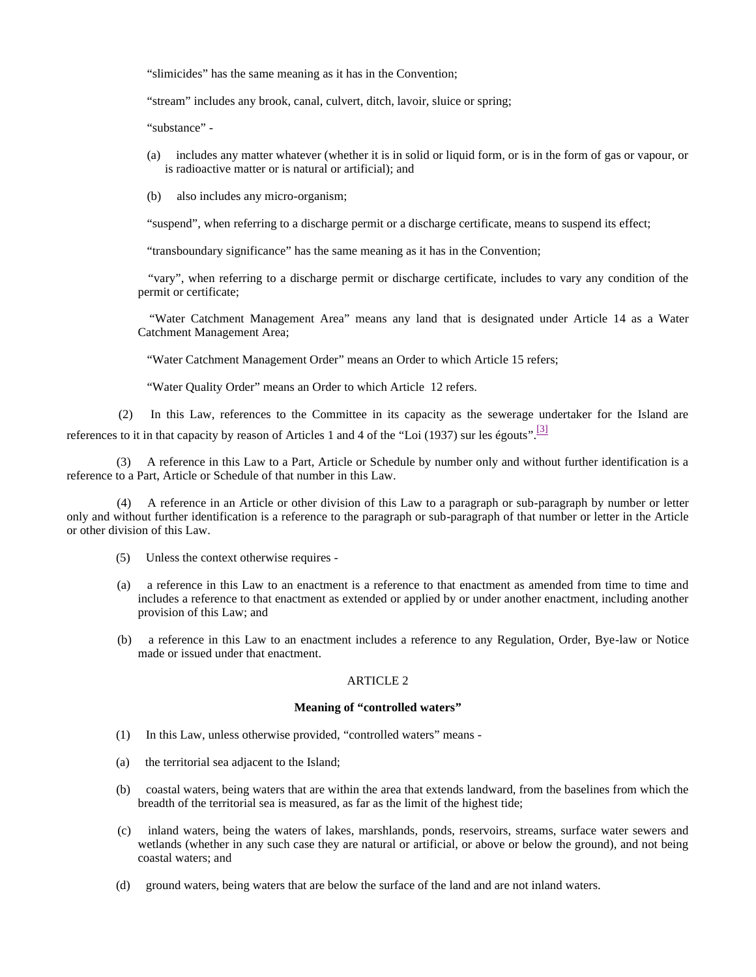"slimicides" has the same meaning as it has in the Convention;

"stream" includes any brook, canal, culvert, ditch, lavoir, sluice or spring;

"substance" -

- (a) includes any matter whatever (whether it is in solid or liquid form, or is in the form of gas or vapour, or is radioactive matter or is natural or artificial); and
- (b) also includes any micro-organism;

"suspend", when referring to a discharge permit or a discharge certificate, means to suspend its effect;

"transboundary significance" has the same meaning as it has in the Convention;

 "vary", when referring to a discharge permit or discharge certificate, includes to vary any condition of the permit or certificate;

 "Water Catchment Management Area" means any land that is designated under Article 14 as a Water Catchment Management Area;

"Water Catchment Management Order" means an Order to which Article 15 refers;

"Water Quality Order" means an Order to which Article 12 refers.

 (2) In this Law, references to the Committee in its capacity as the sewerage undertaker for the Island are references to it in that capacity by reason of Articles 1 and 4 of the "Loi (1937) sur les égouts".<sup>[3]</sup>

 (3) A reference in this Law to a Part, Article or Schedule by number only and without further identification is a reference to a Part, Article or Schedule of that number in this Law.

 (4) A reference in an Article or other division of this Law to a paragraph or sub-paragraph by number or letter only and without further identification is a reference to the paragraph or sub-paragraph of that number or letter in the Article or other division of this Law.

- (5) Unless the context otherwise requires -
- (a) a reference in this Law to an enactment is a reference to that enactment as amended from time to time and includes a reference to that enactment as extended or applied by or under another enactment, including another provision of this Law; and
- (b) a reference in this Law to an enactment includes a reference to any Regulation, Order, Bye-law or Notice made or issued under that enactment.

# ARTICLE 2

### **Meaning of "controlled waters"**

- (1) In this Law, unless otherwise provided, "controlled waters" means -
- (a) the territorial sea adjacent to the Island;
- (b) coastal waters, being waters that are within the area that extends landward, from the baselines from which the breadth of the territorial sea is measured, as far as the limit of the highest tide;
- (c) inland waters, being the waters of lakes, marshlands, ponds, reservoirs, streams, surface water sewers and wetlands (whether in any such case they are natural or artificial, or above or below the ground), and not being coastal waters; and
- (d) ground waters, being waters that are below the surface of the land and are not inland waters.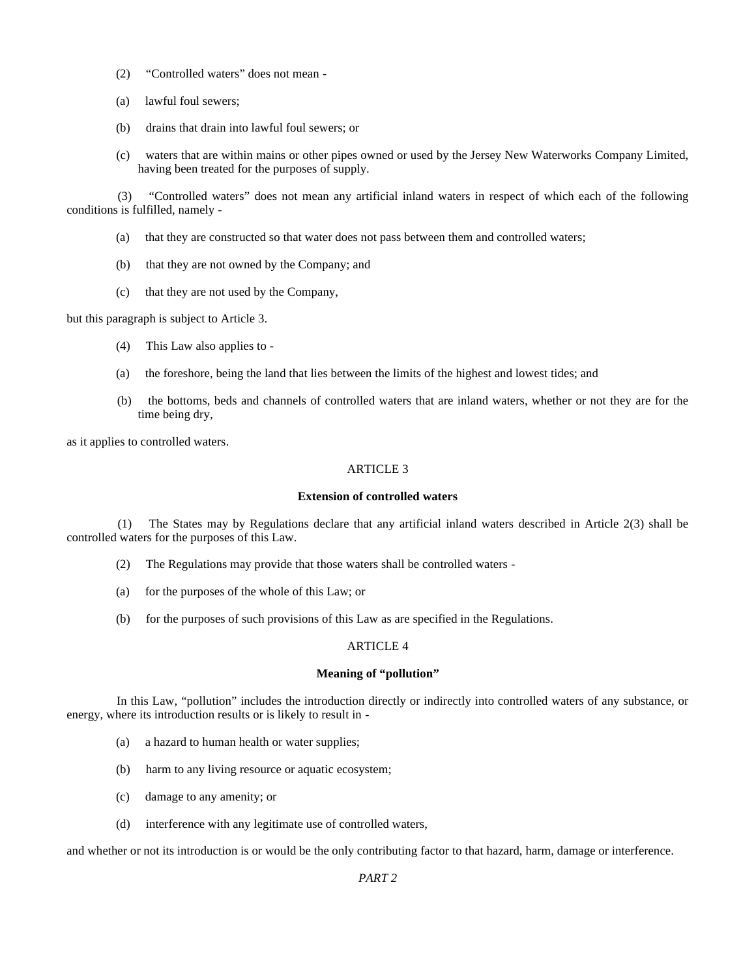- (2) "Controlled waters" does not mean -
- (a) lawful foul sewers;
- (b) drains that drain into lawful foul sewers; or
- (c) waters that are within mains or other pipes owned or used by the Jersey New Waterworks Company Limited, having been treated for the purposes of supply.

 (3) "Controlled waters" does not mean any artificial inland waters in respect of which each of the following conditions is fulfilled, namely -

- (a) that they are constructed so that water does not pass between them and controlled waters;
- (b) that they are not owned by the Company; and
- (c) that they are not used by the Company,

but this paragraph is subject to Article 3.

- (4) This Law also applies to -
- (a) the foreshore, being the land that lies between the limits of the highest and lowest tides; and
- (b) the bottoms, beds and channels of controlled waters that are inland waters, whether or not they are for the time being dry,

as it applies to controlled waters.

# ARTICLE 3

### **Extension of controlled waters**

 (1) The States may by Regulations declare that any artificial inland waters described in Article 2(3) shall be controlled waters for the purposes of this Law.

- (2) The Regulations may provide that those waters shall be controlled waters -
- (a) for the purposes of the whole of this Law; or
- (b) for the purposes of such provisions of this Law as are specified in the Regulations.

### ARTICLE 4

# **Meaning of "pollution"**

 In this Law, "pollution" includes the introduction directly or indirectly into controlled waters of any substance, or energy, where its introduction results or is likely to result in -

- (a) a hazard to human health or water supplies;
- (b) harm to any living resource or aquatic ecosystem;
- (c) damage to any amenity; or
- (d) interference with any legitimate use of controlled waters,

and whether or not its introduction is or would be the only contributing factor to that hazard, harm, damage or interference.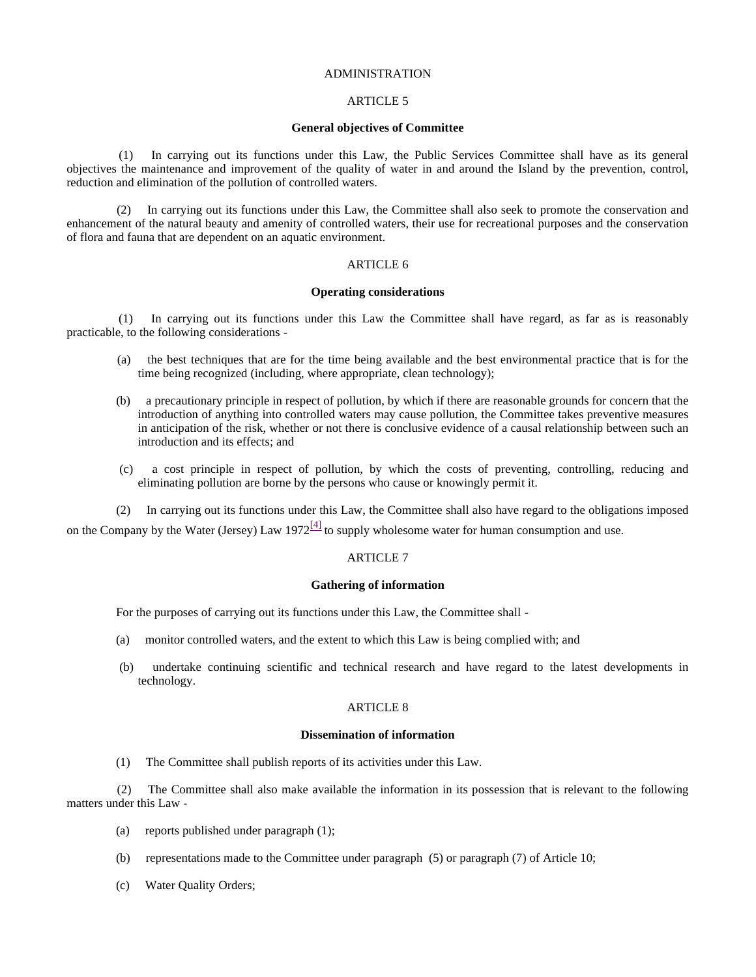# ADMINISTRATION

### ARTICLE 5

### **General objectives of Committee**

 (1) In carrying out its functions under this Law, the Public Services Committee shall have as its general objectives the maintenance and improvement of the quality of water in and around the Island by the prevention, control, reduction and elimination of the pollution of controlled waters.

 (2) In carrying out its functions under this Law, the Committee shall also seek to promote the conservation and enhancement of the natural beauty and amenity of controlled waters, their use for recreational purposes and the conservation of flora and fauna that are dependent on an aquatic environment.

# ARTICLE 6

# **Operating considerations**

 (1) In carrying out its functions under this Law the Committee shall have regard, as far as is reasonably practicable, to the following considerations -

- (a) the best techniques that are for the time being available and the best environmental practice that is for the time being recognized (including, where appropriate, clean technology);
- (b) a precautionary principle in respect of pollution, by which if there are reasonable grounds for concern that the introduction of anything into controlled waters may cause pollution, the Committee takes preventive measures in anticipation of the risk, whether or not there is conclusive evidence of a causal relationship between such an introduction and its effects; and
- (c) a cost principle in respect of pollution, by which the costs of preventing, controlling, reducing and eliminating pollution are borne by the persons who cause or knowingly permit it.
- (2) In carrying out its functions under this Law, the Committee shall also have regard to the obligations imposed

on the Company by the Water (Jersey) Law 1972<sup>[4]</sup> to supply wholesome water for human consumption and use.

# ARTICLE 7

#### **Gathering of information**

For the purposes of carrying out its functions under this Law, the Committee shall -

- (a) monitor controlled waters, and the extent to which this Law is being complied with; and
- (b) undertake continuing scientific and technical research and have regard to the latest developments in technology.

### ARTICLE 8

#### **Dissemination of information**

(1) The Committee shall publish reports of its activities under this Law.

 (2) The Committee shall also make available the information in its possession that is relevant to the following matters under this Law -

- (a) reports published under paragraph (1);
- (b) representations made to the Committee under paragraph (5) or paragraph (7) of Article 10;
- (c) Water Quality Orders;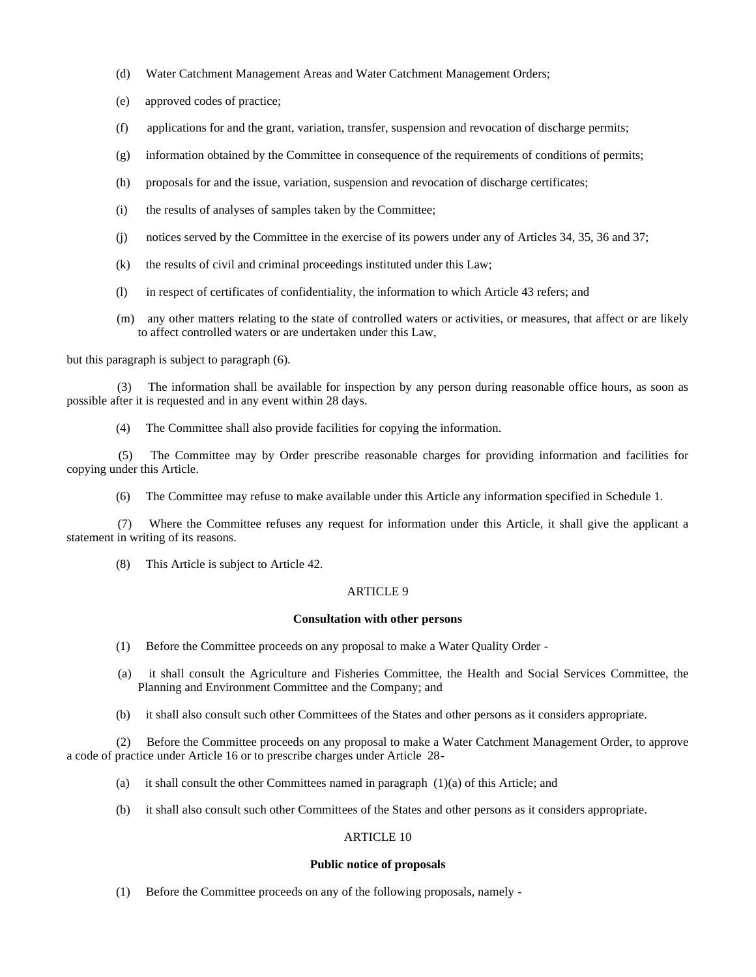- (d) Water Catchment Management Areas and Water Catchment Management Orders;
- (e) approved codes of practice;
- (f) applications for and the grant, variation, transfer, suspension and revocation of discharge permits;
- (g) information obtained by the Committee in consequence of the requirements of conditions of permits;
- (h) proposals for and the issue, variation, suspension and revocation of discharge certificates;
- (i) the results of analyses of samples taken by the Committee;
- (j) notices served by the Committee in the exercise of its powers under any of Articles 34, 35, 36 and 37;
- (k) the results of civil and criminal proceedings instituted under this Law;
- (l) in respect of certificates of confidentiality, the information to which Article 43 refers; and
- (m) any other matters relating to the state of controlled waters or activities, or measures, that affect or are likely to affect controlled waters or are undertaken under this Law,

but this paragraph is subject to paragraph (6).

The information shall be available for inspection by any person during reasonable office hours, as soon as possible after it is requested and in any event within 28 days.

(4) The Committee shall also provide facilities for copying the information.

 (5) The Committee may by Order prescribe reasonable charges for providing information and facilities for copying under this Article.

(6) The Committee may refuse to make available under this Article any information specified in Schedule 1.

 (7) Where the Committee refuses any request for information under this Article, it shall give the applicant a statement in writing of its reasons.

(8) This Article is subject to Article 42.

# ARTICLE 9

# **Consultation with other persons**

- (1) Before the Committee proceeds on any proposal to make a Water Quality Order -
- (a) it shall consult the Agriculture and Fisheries Committee, the Health and Social Services Committee, the Planning and Environment Committee and the Company; and
- (b) it shall also consult such other Committees of the States and other persons as it considers appropriate.

 (2) Before the Committee proceeds on any proposal to make a Water Catchment Management Order, to approve a code of practice under Article 16 or to prescribe charges under Article 28-

- (a) it shall consult the other Committees named in paragraph (1)(a) of this Article; and
- (b) it shall also consult such other Committees of the States and other persons as it considers appropriate.

# ARTICLE 10

#### **Public notice of proposals**

(1) Before the Committee proceeds on any of the following proposals, namely -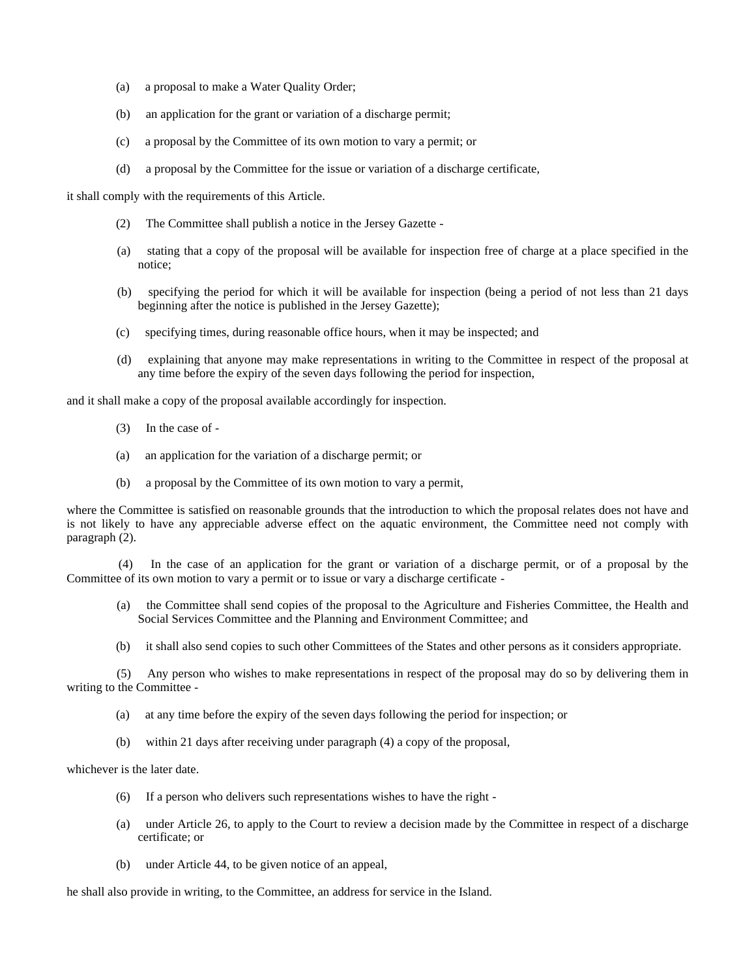- (a) a proposal to make a Water Quality Order;
- (b) an application for the grant or variation of a discharge permit;
- (c) a proposal by the Committee of its own motion to vary a permit; or
- (d) a proposal by the Committee for the issue or variation of a discharge certificate,

it shall comply with the requirements of this Article.

- (2) The Committee shall publish a notice in the Jersey Gazette -
- (a) stating that a copy of the proposal will be available for inspection free of charge at a place specified in the notice;
- (b) specifying the period for which it will be available for inspection (being a period of not less than 21 days beginning after the notice is published in the Jersey Gazette);
- (c) specifying times, during reasonable office hours, when it may be inspected; and
- (d) explaining that anyone may make representations in writing to the Committee in respect of the proposal at any time before the expiry of the seven days following the period for inspection,

and it shall make a copy of the proposal available accordingly for inspection.

- (3) In the case of -
- (a) an application for the variation of a discharge permit; or
- (b) a proposal by the Committee of its own motion to vary a permit,

where the Committee is satisfied on reasonable grounds that the introduction to which the proposal relates does not have and is not likely to have any appreciable adverse effect on the aquatic environment, the Committee need not comply with paragraph (2).

 (4) In the case of an application for the grant or variation of a discharge permit, or of a proposal by the Committee of its own motion to vary a permit or to issue or vary a discharge certificate -

- (a) the Committee shall send copies of the proposal to the Agriculture and Fisheries Committee, the Health and Social Services Committee and the Planning and Environment Committee; and
- (b) it shall also send copies to such other Committees of the States and other persons as it considers appropriate.

 (5) Any person who wishes to make representations in respect of the proposal may do so by delivering them in writing to the Committee -

- (a) at any time before the expiry of the seven days following the period for inspection; or
- (b) within 21 days after receiving under paragraph (4) a copy of the proposal,

### whichever is the later date.

- (6) If a person who delivers such representations wishes to have the right -
- (a) under Article 26, to apply to the Court to review a decision made by the Committee in respect of a discharge certificate; or
- (b) under Article 44, to be given notice of an appeal,

he shall also provide in writing, to the Committee, an address for service in the Island.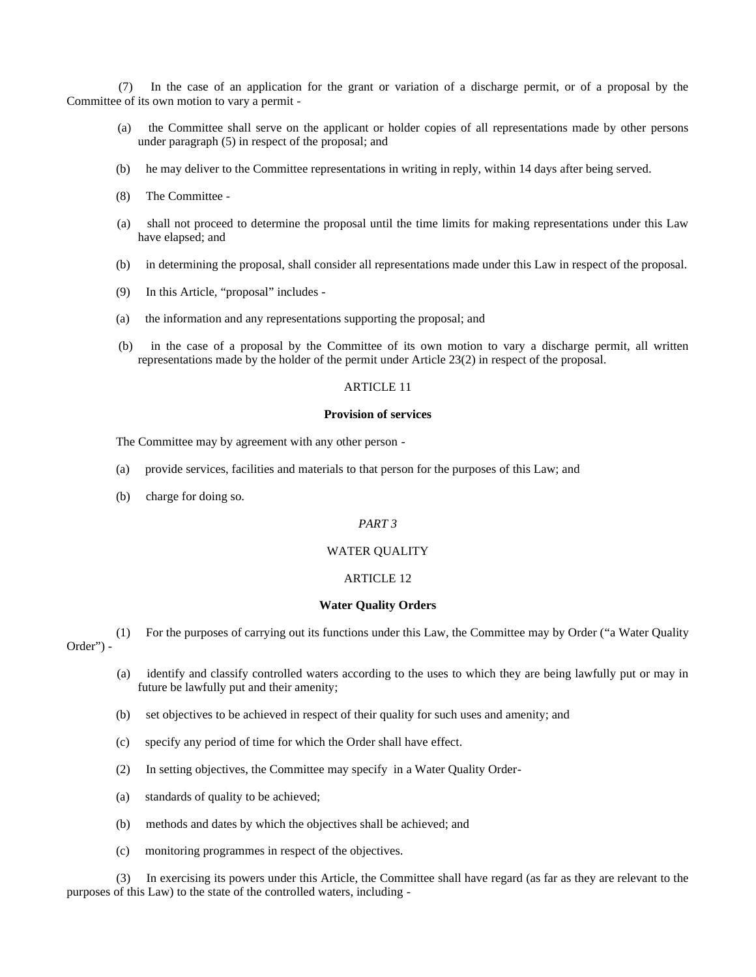(7) In the case of an application for the grant or variation of a discharge permit, or of a proposal by the Committee of its own motion to vary a permit -

- (a) the Committee shall serve on the applicant or holder copies of all representations made by other persons under paragraph (5) in respect of the proposal; and
- (b) he may deliver to the Committee representations in writing in reply, within 14 days after being served.
- (8) The Committee -
- (a) shall not proceed to determine the proposal until the time limits for making representations under this Law have elapsed; and
- (b) in determining the proposal, shall consider all representations made under this Law in respect of the proposal.
- (9) In this Article, "proposal" includes -
- (a) the information and any representations supporting the proposal; and
- (b) in the case of a proposal by the Committee of its own motion to vary a discharge permit, all written representations made by the holder of the permit under Article 23(2) in respect of the proposal.

# ARTICLE 11

# **Provision of services**

The Committee may by agreement with any other person -

- (a) provide services, facilities and materials to that person for the purposes of this Law; and
- (b) charge for doing so.

# *PART 3*

# WATER QUALITY

# ARTICLE 12

#### **Water Quality Orders**

 (1) For the purposes of carrying out its functions under this Law, the Committee may by Order ("a Water Quality Order") -

- (a) identify and classify controlled waters according to the uses to which they are being lawfully put or may in future be lawfully put and their amenity;
- (b) set objectives to be achieved in respect of their quality for such uses and amenity; and
- (c) specify any period of time for which the Order shall have effect.
- (2) In setting objectives, the Committee may specify in a Water Quality Order-
- (a) standards of quality to be achieved;
- (b) methods and dates by which the objectives shall be achieved; and
- (c) monitoring programmes in respect of the objectives.

 (3) In exercising its powers under this Article, the Committee shall have regard (as far as they are relevant to the purposes of this Law) to the state of the controlled waters, including -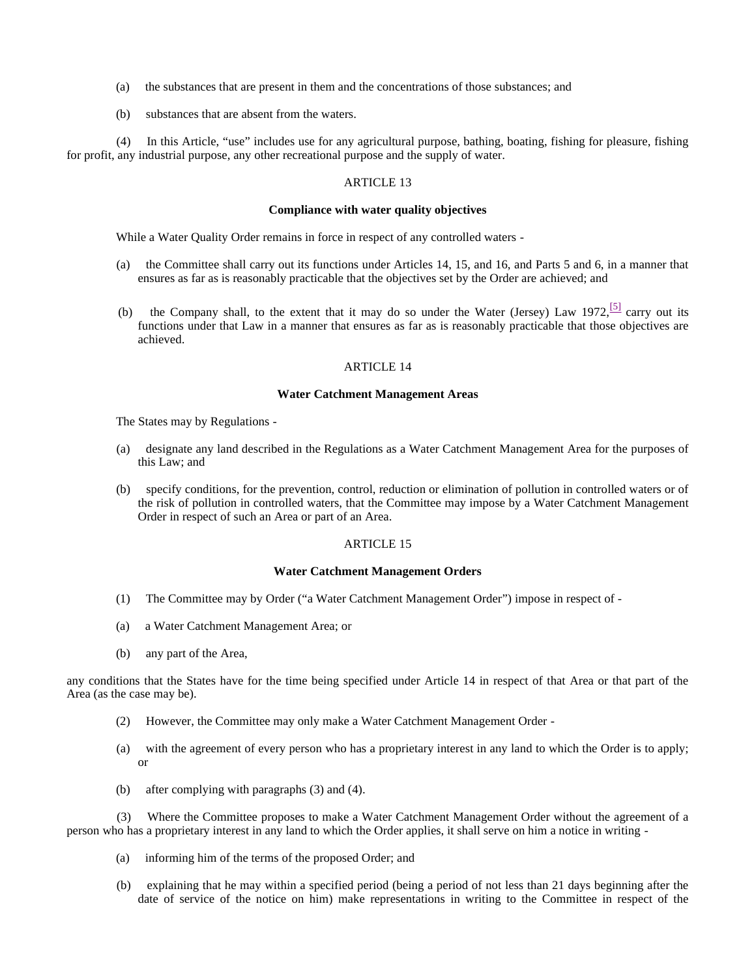- (a) the substances that are present in them and the concentrations of those substances; and
- (b) substances that are absent from the waters.

 (4) In this Article, "use" includes use for any agricultural purpose, bathing, boating, fishing for pleasure, fishing for profit, any industrial purpose, any other recreational purpose and the supply of water.

# ARTICLE 13

# **Compliance with water quality objectives**

While a Water Quality Order remains in force in respect of any controlled waters -

- (a) the Committee shall carry out its functions under Articles 14, 15, and 16, and Parts 5 and 6, in a manner that ensures as far as is reasonably practicable that the objectives set by the Order are achieved; and
- (b) the Company shall, to the extent that it may do so under the Water (Jersey) Law 1972,  $\frac{|5|}{2}$  carry out its functions under that Law in a manner that ensures as far as is reasonably practicable that those objectives are achieved.

# ARTICLE 14

#### **Water Catchment Management Areas**

The States may by Regulations -

- (a) designate any land described in the Regulations as a Water Catchment Management Area for the purposes of this Law; and
- (b) specify conditions, for the prevention, control, reduction or elimination of pollution in controlled waters or of the risk of pollution in controlled waters, that the Committee may impose by a Water Catchment Management Order in respect of such an Area or part of an Area.

### ARTICLE 15

# **Water Catchment Management Orders**

- (1) The Committee may by Order ("a Water Catchment Management Order") impose in respect of -
- (a) a Water Catchment Management Area; or
- (b) any part of the Area,

any conditions that the States have for the time being specified under Article 14 in respect of that Area or that part of the Area (as the case may be).

- (2) However, the Committee may only make a Water Catchment Management Order -
- (a) with the agreement of every person who has a proprietary interest in any land to which the Order is to apply; or
- (b) after complying with paragraphs (3) and (4).

 (3) Where the Committee proposes to make a Water Catchment Management Order without the agreement of a person who has a proprietary interest in any land to which the Order applies, it shall serve on him a notice in writing -

- (a) informing him of the terms of the proposed Order; and
- (b) explaining that he may within a specified period (being a period of not less than 21 days beginning after the date of service of the notice on him) make representations in writing to the Committee in respect of the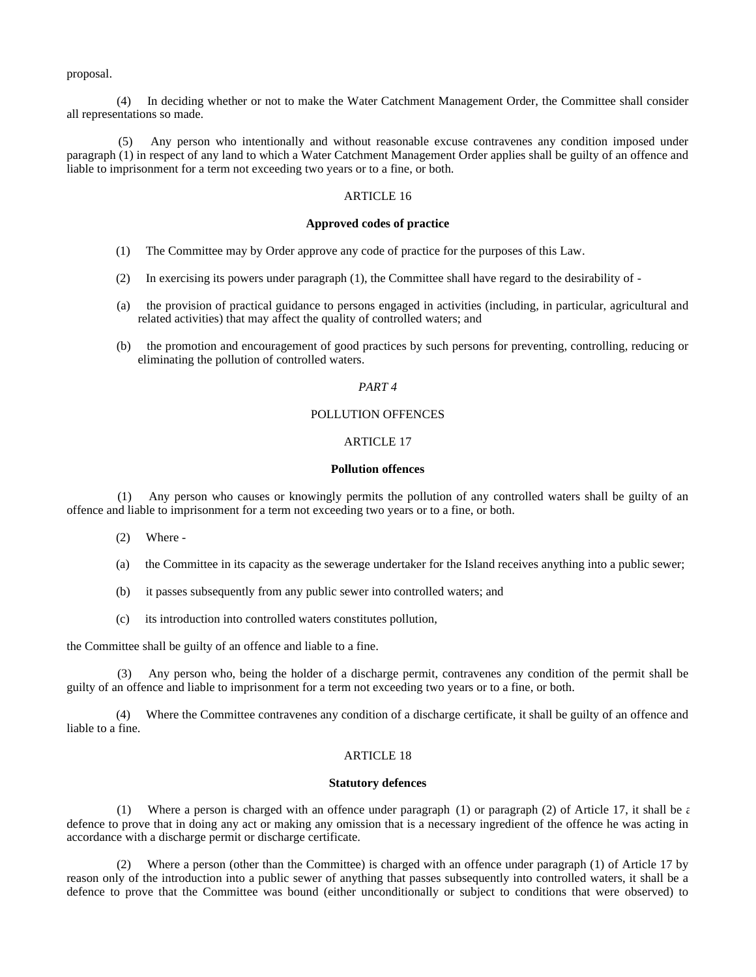proposal.

 (4) In deciding whether or not to make the Water Catchment Management Order, the Committee shall consider all representations so made.

 (5) Any person who intentionally and without reasonable excuse contravenes any condition imposed under paragraph (1) in respect of any land to which a Water Catchment Management Order applies shall be guilty of an offence and liable to imprisonment for a term not exceeding two years or to a fine, or both.

# ARTICLE 16

#### **Approved codes of practice**

- (1) The Committee may by Order approve any code of practice for the purposes of this Law.
- (2) In exercising its powers under paragraph (1), the Committee shall have regard to the desirability of -
- (a) the provision of practical guidance to persons engaged in activities (including, in particular, agricultural and related activities) that may affect the quality of controlled waters; and
- (b) the promotion and encouragement of good practices by such persons for preventing, controlling, reducing or eliminating the pollution of controlled waters.

# *PART 4*

# POLLUTION OFFENCES

# ARTICLE 17

#### **Pollution offences**

 (1) Any person who causes or knowingly permits the pollution of any controlled waters shall be guilty of an offence and liable to imprisonment for a term not exceeding two years or to a fine, or both.

- (2) Where -
- (a) the Committee in its capacity as the sewerage undertaker for the Island receives anything into a public sewer;
- (b) it passes subsequently from any public sewer into controlled waters; and
- (c) its introduction into controlled waters constitutes pollution,

the Committee shall be guilty of an offence and liable to a fine.

 (3) Any person who, being the holder of a discharge permit, contravenes any condition of the permit shall be guilty of an offence and liable to imprisonment for a term not exceeding two years or to a fine, or both.

 (4) Where the Committee contravenes any condition of a discharge certificate, it shall be guilty of an offence and liable to a fine.

### ARTICLE 18

#### **Statutory defences**

(1) Where a person is charged with an offence under paragraph (1) or paragraph (2) of Article 17, it shall be  $\epsilon$ defence to prove that in doing any act or making any omission that is a necessary ingredient of the offence he was acting in accordance with a discharge permit or discharge certificate.

 (2) Where a person (other than the Committee) is charged with an offence under paragraph (1) of Article 17 by reason only of the introduction into a public sewer of anything that passes subsequently into controlled waters, it shall be a defence to prove that the Committee was bound (either unconditionally or subject to conditions that were observed) to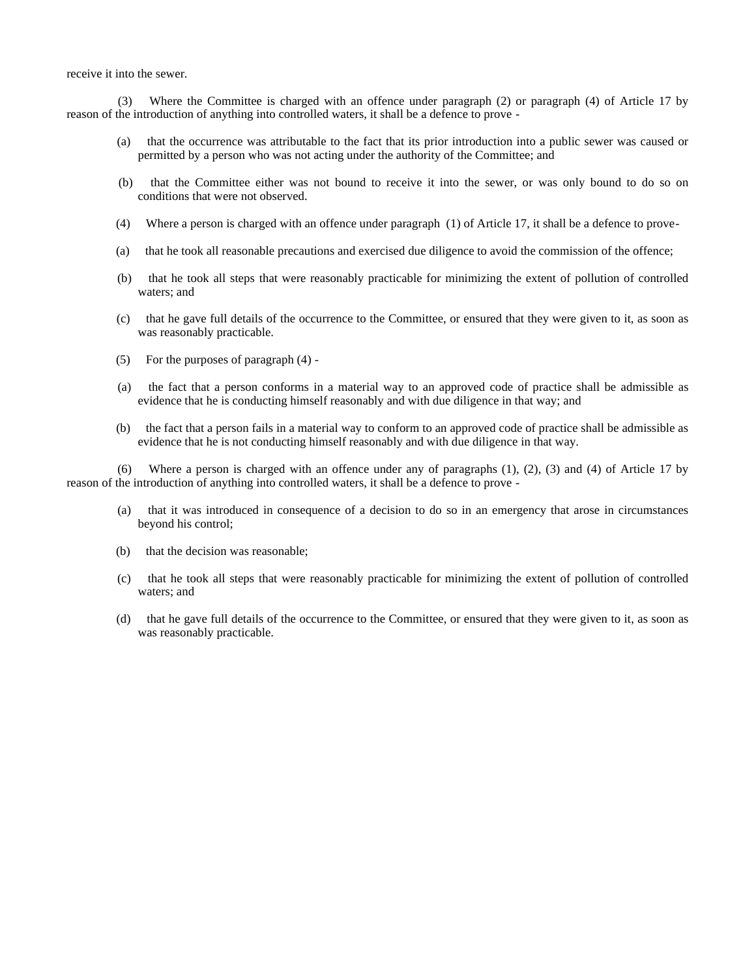receive it into the sewer.

 (3) Where the Committee is charged with an offence under paragraph (2) or paragraph (4) of Article 17 by reason of the introduction of anything into controlled waters, it shall be a defence to prove -

- (a) that the occurrence was attributable to the fact that its prior introduction into a public sewer was caused or permitted by a person who was not acting under the authority of the Committee; and
- (b) that the Committee either was not bound to receive it into the sewer, or was only bound to do so on conditions that were not observed.
- (4) Where a person is charged with an offence under paragraph (1) of Article 17, it shall be a defence to prove-
- (a) that he took all reasonable precautions and exercised due diligence to avoid the commission of the offence;
- (b) that he took all steps that were reasonably practicable for minimizing the extent of pollution of controlled waters; and
- (c) that he gave full details of the occurrence to the Committee, or ensured that they were given to it, as soon as was reasonably practicable.
- (5) For the purposes of paragraph (4) -
- (a) the fact that a person conforms in a material way to an approved code of practice shall be admissible as evidence that he is conducting himself reasonably and with due diligence in that way; and
- (b) the fact that a person fails in a material way to conform to an approved code of practice shall be admissible as evidence that he is not conducting himself reasonably and with due diligence in that way.

 (6) Where a person is charged with an offence under any of paragraphs (1), (2), (3) and (4) of Article 17 by reason of the introduction of anything into controlled waters, it shall be a defence to prove -

- (a) that it was introduced in consequence of a decision to do so in an emergency that arose in circumstances beyond his control;
- (b) that the decision was reasonable;
- (c) that he took all steps that were reasonably practicable for minimizing the extent of pollution of controlled waters; and
- (d) that he gave full details of the occurrence to the Committee, or ensured that they were given to it, as soon as was reasonably practicable.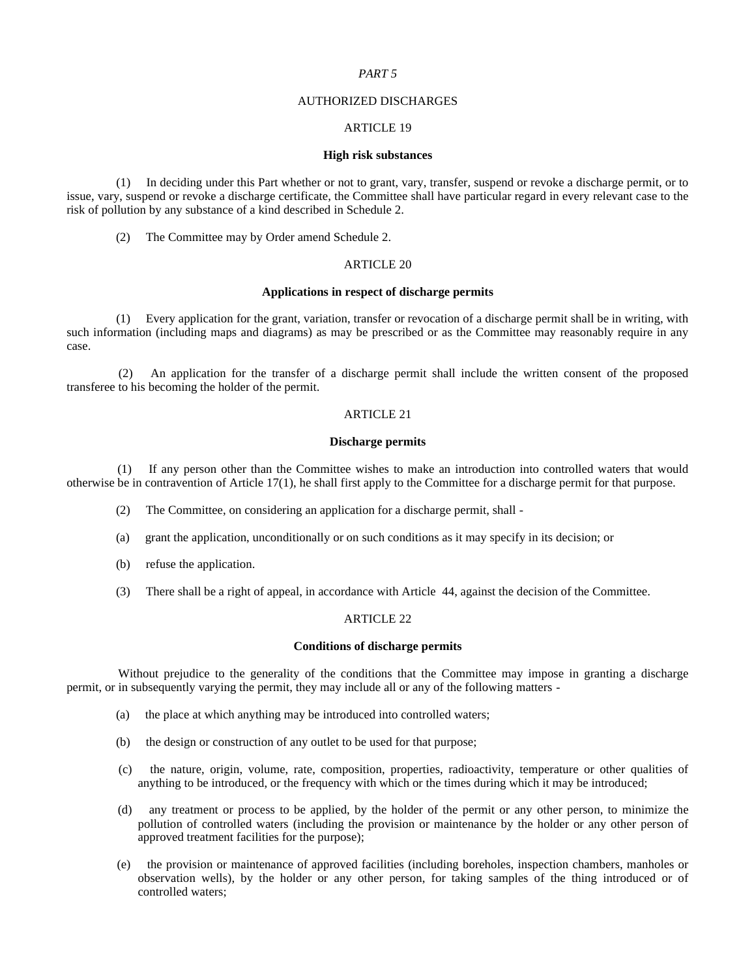### *PART 5*

#### AUTHORIZED DISCHARGES

# ARTICLE 19

#### **High risk substances**

 (1) In deciding under this Part whether or not to grant, vary, transfer, suspend or revoke a discharge permit, or to issue, vary, suspend or revoke a discharge certificate, the Committee shall have particular regard in every relevant case to the risk of pollution by any substance of a kind described in Schedule 2.

(2) The Committee may by Order amend Schedule 2.

# ARTICLE 20

# **Applications in respect of discharge permits**

 (1) Every application for the grant, variation, transfer or revocation of a discharge permit shall be in writing, with such information (including maps and diagrams) as may be prescribed or as the Committee may reasonably require in any case.

 (2) An application for the transfer of a discharge permit shall include the written consent of the proposed transferee to his becoming the holder of the permit.

# ARTICLE 21

#### **Discharge permits**

 (1) If any person other than the Committee wishes to make an introduction into controlled waters that would otherwise be in contravention of Article 17(1), he shall first apply to the Committee for a discharge permit for that purpose.

- (2) The Committee, on considering an application for a discharge permit, shall -
- (a) grant the application, unconditionally or on such conditions as it may specify in its decision; or
- (b) refuse the application.
- (3) There shall be a right of appeal, in accordance with Article 44, against the decision of the Committee.

# ARTICLE 22

### **Conditions of discharge permits**

 Without prejudice to the generality of the conditions that the Committee may impose in granting a discharge permit, or in subsequently varying the permit, they may include all or any of the following matters -

- (a) the place at which anything may be introduced into controlled waters;
- (b) the design or construction of any outlet to be used for that purpose;
- (c) the nature, origin, volume, rate, composition, properties, radioactivity, temperature or other qualities of anything to be introduced, or the frequency with which or the times during which it may be introduced;
- (d) any treatment or process to be applied, by the holder of the permit or any other person, to minimize the pollution of controlled waters (including the provision or maintenance by the holder or any other person of approved treatment facilities for the purpose);
- (e) the provision or maintenance of approved facilities (including boreholes, inspection chambers, manholes or observation wells), by the holder or any other person, for taking samples of the thing introduced or of controlled waters;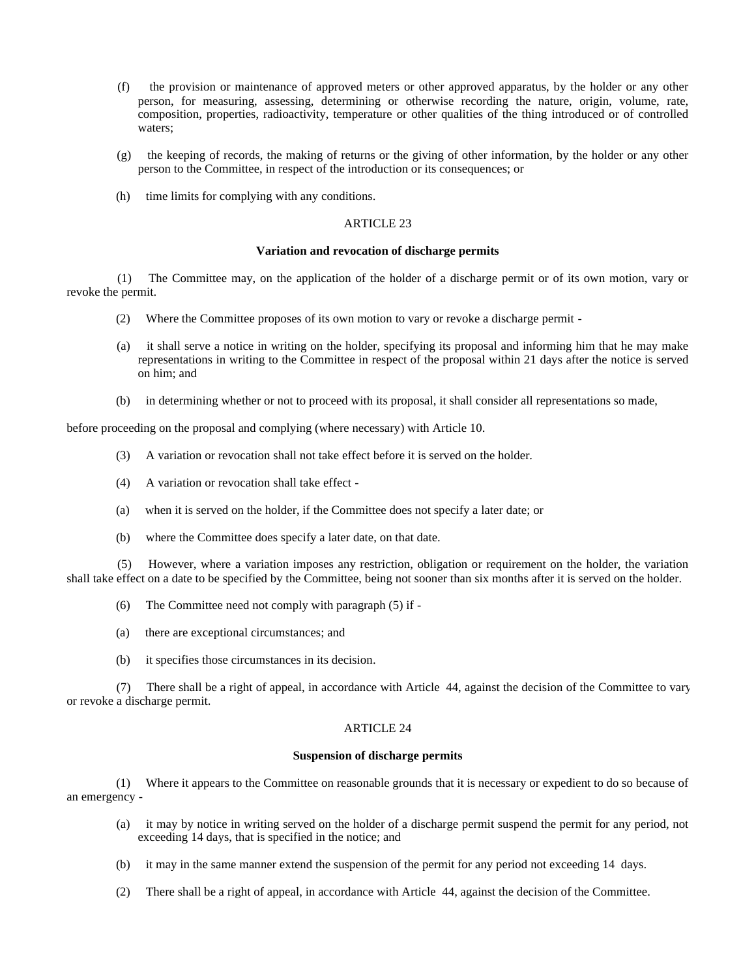- (f) the provision or maintenance of approved meters or other approved apparatus, by the holder or any other person, for measuring, assessing, determining or otherwise recording the nature, origin, volume, rate, composition, properties, radioactivity, temperature or other qualities of the thing introduced or of controlled waters;
- (g) the keeping of records, the making of returns or the giving of other information, by the holder or any other person to the Committee, in respect of the introduction or its consequences; or
- (h) time limits for complying with any conditions.

# **Variation and revocation of discharge permits**

 (1) The Committee may, on the application of the holder of a discharge permit or of its own motion, vary or revoke the permit.

- (2) Where the Committee proposes of its own motion to vary or revoke a discharge permit -
- (a) it shall serve a notice in writing on the holder, specifying its proposal and informing him that he may make representations in writing to the Committee in respect of the proposal within 21 days after the notice is served on him; and
- (b) in determining whether or not to proceed with its proposal, it shall consider all representations so made,

before proceeding on the proposal and complying (where necessary) with Article 10.

- (3) A variation or revocation shall not take effect before it is served on the holder.
- (4) A variation or revocation shall take effect -
- (a) when it is served on the holder, if the Committee does not specify a later date; or
- (b) where the Committee does specify a later date, on that date.

 (5) However, where a variation imposes any restriction, obligation or requirement on the holder, the variation shall take effect on a date to be specified by the Committee, being not sooner than six months after it is served on the holder.

- (6) The Committee need not comply with paragraph (5) if -
- (a) there are exceptional circumstances; and
- (b) it specifies those circumstances in its decision.

 (7) There shall be a right of appeal, in accordance with Article 44, against the decision of the Committee to vary or revoke a discharge permit.

#### ARTICLE 24

#### **Suspension of discharge permits**

 (1) Where it appears to the Committee on reasonable grounds that it is necessary or expedient to do so because of an emergency -

- (a) it may by notice in writing served on the holder of a discharge permit suspend the permit for any period, not exceeding 14 days, that is specified in the notice; and
- (b) it may in the same manner extend the suspension of the permit for any period not exceeding 14 days.
- (2) There shall be a right of appeal, in accordance with Article 44, against the decision of the Committee.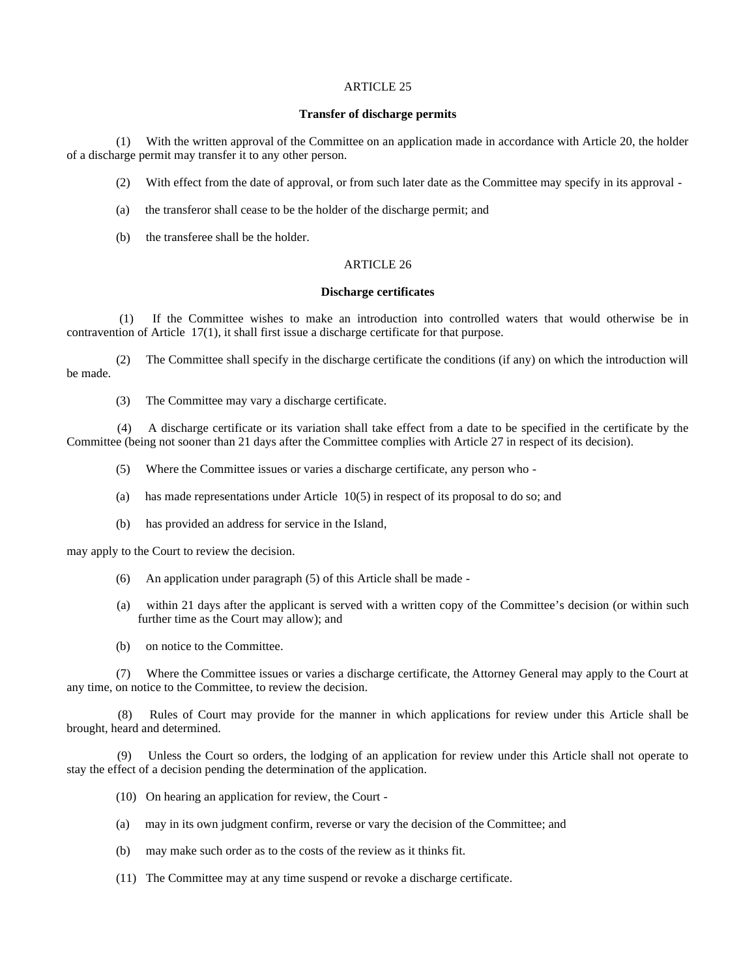# **Transfer of discharge permits**

 (1) With the written approval of the Committee on an application made in accordance with Article 20, the holder of a discharge permit may transfer it to any other person.

- (2) With effect from the date of approval, or from such later date as the Committee may specify in its approval -
- (a) the transferor shall cease to be the holder of the discharge permit; and
- (b) the transferee shall be the holder.

# ARTICLE 26

# **Discharge certificates**

 (1) If the Committee wishes to make an introduction into controlled waters that would otherwise be in contravention of Article 17(1), it shall first issue a discharge certificate for that purpose.

 (2) The Committee shall specify in the discharge certificate the conditions (if any) on which the introduction will be made.

(3) The Committee may vary a discharge certificate.

 (4) A discharge certificate or its variation shall take effect from a date to be specified in the certificate by the Committee (being not sooner than 21 days after the Committee complies with Article 27 in respect of its decision).

- (5) Where the Committee issues or varies a discharge certificate, any person who -
- (a) has made representations under Article 10(5) in respect of its proposal to do so; and
- (b) has provided an address for service in the Island,

may apply to the Court to review the decision.

- (6) An application under paragraph (5) of this Article shall be made -
- (a) within 21 days after the applicant is served with a written copy of the Committee's decision (or within such further time as the Court may allow); and
- (b) on notice to the Committee.

 (7) Where the Committee issues or varies a discharge certificate, the Attorney General may apply to the Court at any time, on notice to the Committee, to review the decision.

 (8) Rules of Court may provide for the manner in which applications for review under this Article shall be brought, heard and determined.

Unless the Court so orders, the lodging of an application for review under this Article shall not operate to stay the effect of a decision pending the determination of the application.

- (10) On hearing an application for review, the Court -
- (a) may in its own judgment confirm, reverse or vary the decision of the Committee; and
- (b) may make such order as to the costs of the review as it thinks fit.
- (11) The Committee may at any time suspend or revoke a discharge certificate.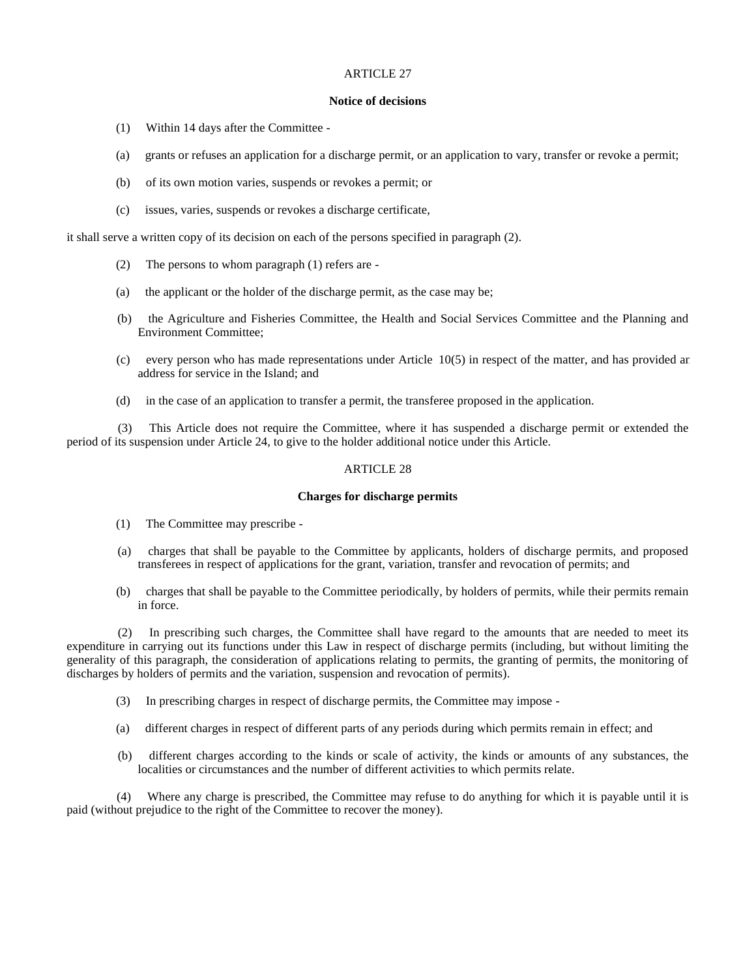### **Notice of decisions**

- (1) Within 14 days after the Committee -
- (a) grants or refuses an application for a discharge permit, or an application to vary, transfer or revoke a permit;
- (b) of its own motion varies, suspends or revokes a permit; or
- (c) issues, varies, suspends or revokes a discharge certificate,

it shall serve a written copy of its decision on each of the persons specified in paragraph (2).

- (2) The persons to whom paragraph (1) refers are -
- (a) the applicant or the holder of the discharge permit, as the case may be;
- (b) the Agriculture and Fisheries Committee, the Health and Social Services Committee and the Planning and Environment Committee;
- (c) every person who has made representations under Article 10(5) in respect of the matter, and has provided an address for service in the Island; and
- (d) in the case of an application to transfer a permit, the transferee proposed in the application.

 (3) This Article does not require the Committee, where it has suspended a discharge permit or extended the period of its suspension under Article 24, to give to the holder additional notice under this Article.

# ARTICLE 28

# **Charges for discharge permits**

- (1) The Committee may prescribe -
- (a) charges that shall be payable to the Committee by applicants, holders of discharge permits, and proposed transferees in respect of applications for the grant, variation, transfer and revocation of permits; and
- (b) charges that shall be payable to the Committee periodically, by holders of permits, while their permits remain in force.

 (2) In prescribing such charges, the Committee shall have regard to the amounts that are needed to meet its expenditure in carrying out its functions under this Law in respect of discharge permits (including, but without limiting the generality of this paragraph, the consideration of applications relating to permits, the granting of permits, the monitoring of discharges by holders of permits and the variation, suspension and revocation of permits).

- (3) In prescribing charges in respect of discharge permits, the Committee may impose -
- (a) different charges in respect of different parts of any periods during which permits remain in effect; and
- (b) different charges according to the kinds or scale of activity, the kinds or amounts of any substances, the localities or circumstances and the number of different activities to which permits relate.

 (4) Where any charge is prescribed, the Committee may refuse to do anything for which it is payable until it is paid (without prejudice to the right of the Committee to recover the money).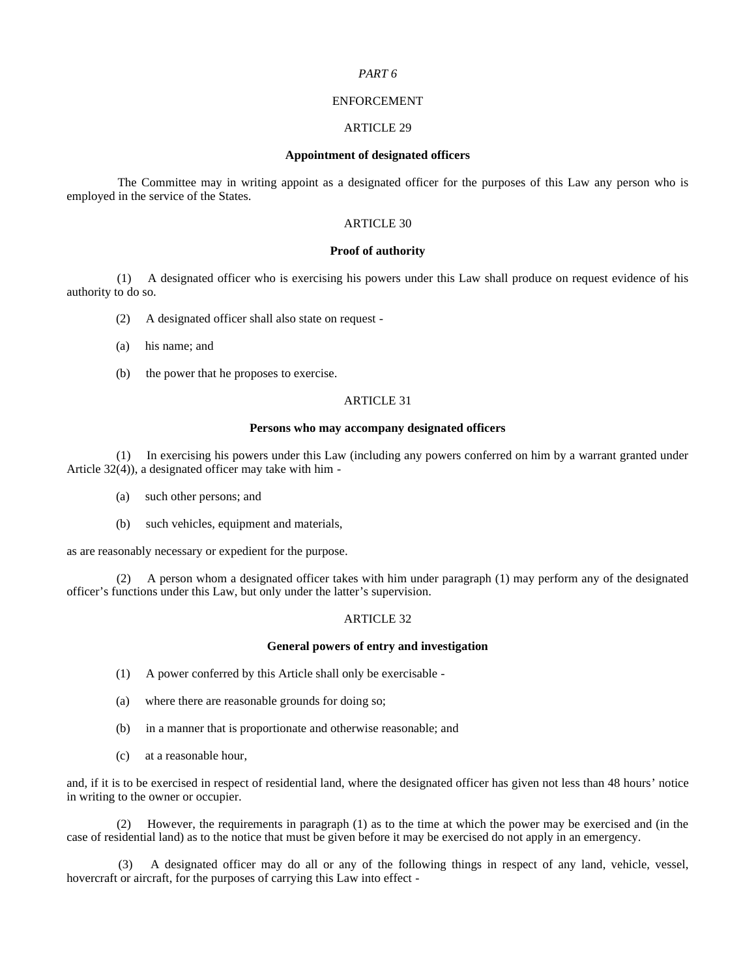### *PART 6*

# ENFORCEMENT

### ARTICLE 29

# **Appointment of designated officers**

 The Committee may in writing appoint as a designated officer for the purposes of this Law any person who is employed in the service of the States.

# ARTICLE 30

# **Proof of authority**

 (1) A designated officer who is exercising his powers under this Law shall produce on request evidence of his authority to do so.

- (2) A designated officer shall also state on request -
- (a) his name; and
- (b) the power that he proposes to exercise.

# ARTICLE 31

# **Persons who may accompany designated officers**

 (1) In exercising his powers under this Law (including any powers conferred on him by a warrant granted under Article 32(4)), a designated officer may take with him -

- (a) such other persons; and
- (b) such vehicles, equipment and materials,

as are reasonably necessary or expedient for the purpose.

 (2) A person whom a designated officer takes with him under paragraph (1) may perform any of the designated officer's functions under this Law, but only under the latter's supervision.

# ARTICLE 32

### **General powers of entry and investigation**

- (1) A power conferred by this Article shall only be exercisable -
- (a) where there are reasonable grounds for doing so;
- (b) in a manner that is proportionate and otherwise reasonable; and
- (c) at a reasonable hour,

and, if it is to be exercised in respect of residential land, where the designated officer has given not less than 48 hours' notice in writing to the owner or occupier.

 (2) However, the requirements in paragraph (1) as to the time at which the power may be exercised and (in the case of residential land) as to the notice that must be given before it may be exercised do not apply in an emergency.

 (3) A designated officer may do all or any of the following things in respect of any land, vehicle, vessel, hovercraft or aircraft, for the purposes of carrying this Law into effect -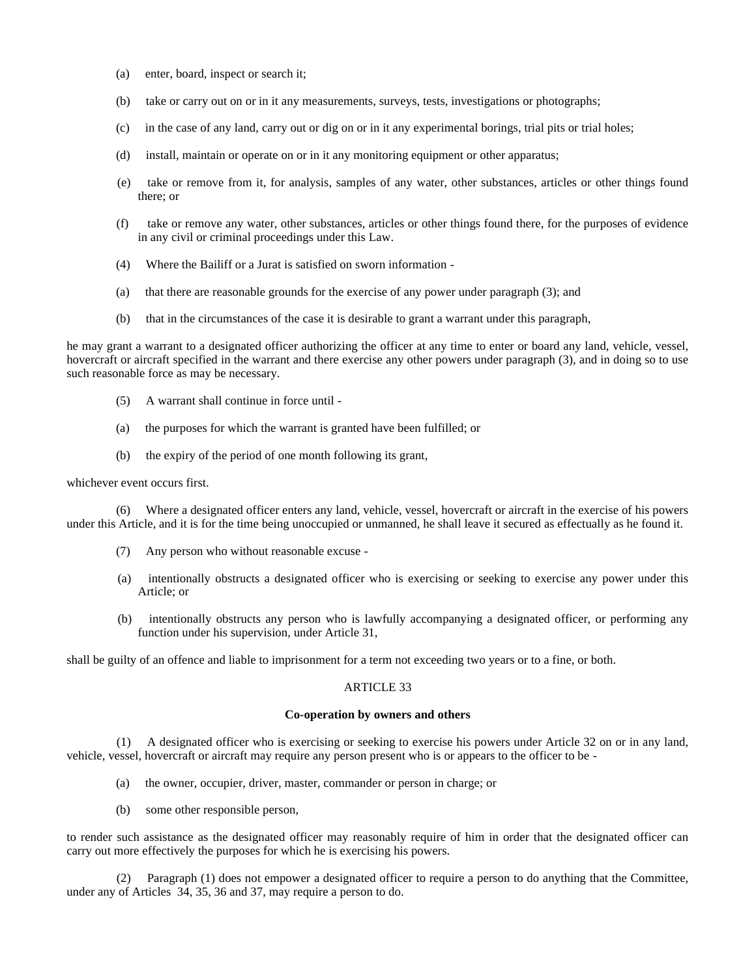- (a) enter, board, inspect or search it;
- (b) take or carry out on or in it any measurements, surveys, tests, investigations or photographs;
- (c) in the case of any land, carry out or dig on or in it any experimental borings, trial pits or trial holes;
- (d) install, maintain or operate on or in it any monitoring equipment or other apparatus;
- (e) take or remove from it, for analysis, samples of any water, other substances, articles or other things found there; or
- (f) take or remove any water, other substances, articles or other things found there, for the purposes of evidence in any civil or criminal proceedings under this Law.
- (4) Where the Bailiff or a Jurat is satisfied on sworn information -
- (a) that there are reasonable grounds for the exercise of any power under paragraph (3); and
- (b) that in the circumstances of the case it is desirable to grant a warrant under this paragraph,

he may grant a warrant to a designated officer authorizing the officer at any time to enter or board any land, vehicle, vessel, hovercraft or aircraft specified in the warrant and there exercise any other powers under paragraph (3), and in doing so to use such reasonable force as may be necessary.

- (5) A warrant shall continue in force until -
- (a) the purposes for which the warrant is granted have been fulfilled; or
- (b) the expiry of the period of one month following its grant,

# whichever event occurs first.

 (6) Where a designated officer enters any land, vehicle, vessel, hovercraft or aircraft in the exercise of his powers under this Article, and it is for the time being unoccupied or unmanned, he shall leave it secured as effectually as he found it.

- (7) Any person who without reasonable excuse -
- (a) intentionally obstructs a designated officer who is exercising or seeking to exercise any power under this Article; or
- (b) intentionally obstructs any person who is lawfully accompanying a designated officer, or performing any function under his supervision, under Article 31,

shall be guilty of an offence and liable to imprisonment for a term not exceeding two years or to a fine, or both.

#### ARTICLE 33

## **Co-operation by owners and others**

 (1) A designated officer who is exercising or seeking to exercise his powers under Article 32 on or in any land, vehicle, vessel, hovercraft or aircraft may require any person present who is or appears to the officer to be -

- (a) the owner, occupier, driver, master, commander or person in charge; or
- (b) some other responsible person,

to render such assistance as the designated officer may reasonably require of him in order that the designated officer can carry out more effectively the purposes for which he is exercising his powers.

Paragraph (1) does not empower a designated officer to require a person to do anything that the Committee, under any of Articles 34, 35, 36 and 37, may require a person to do.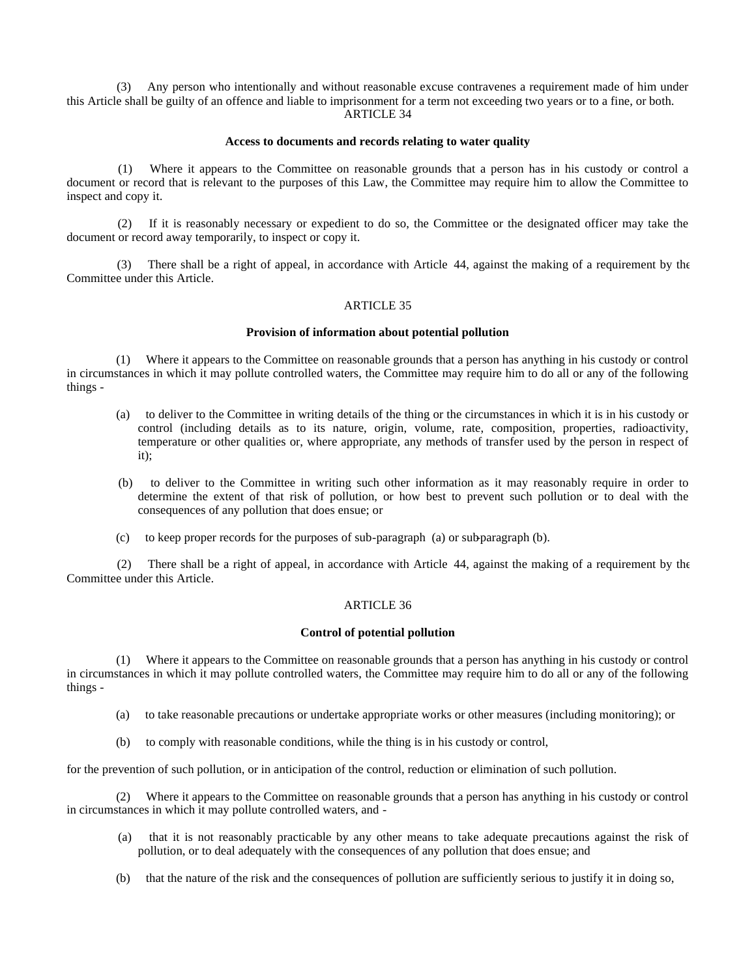Any person who intentionally and without reasonable excuse contravenes a requirement made of him under this Article shall be guilty of an offence and liable to imprisonment for a term not exceeding two years or to a fine, or both. ARTICLE 34

### **Access to documents and records relating to water quality**

 (1) Where it appears to the Committee on reasonable grounds that a person has in his custody or control a document or record that is relevant to the purposes of this Law, the Committee may require him to allow the Committee to inspect and copy it.

 (2) If it is reasonably necessary or expedient to do so, the Committee or the designated officer may take the document or record away temporarily, to inspect or copy it.

 (3) There shall be a right of appeal, in accordance with Article 44, against the making of a requirement by the Committee under this Article.

# ARTICLE 35

# **Provision of information about potential pollution**

 (1) Where it appears to the Committee on reasonable grounds that a person has anything in his custody or control in circumstances in which it may pollute controlled waters, the Committee may require him to do all or any of the following things -

- (a) to deliver to the Committee in writing details of the thing or the circumstances in which it is in his custody or control (including details as to its nature, origin, volume, rate, composition, properties, radioactivity, temperature or other qualities or, where appropriate, any methods of transfer used by the person in respect of it);
- (b) to deliver to the Committee in writing such other information as it may reasonably require in order to determine the extent of that risk of pollution, or how best to prevent such pollution or to deal with the consequences of any pollution that does ensue; or
- (c) to keep proper records for the purposes of sub-paragraph (a) or sub-paragraph (b).

 (2) There shall be a right of appeal, in accordance with Article 44, against the making of a requirement by the Committee under this Article.

#### ARTICLE 36

### **Control of potential pollution**

 (1) Where it appears to the Committee on reasonable grounds that a person has anything in his custody or control in circumstances in which it may pollute controlled waters, the Committee may require him to do all or any of the following things -

- (a) to take reasonable precautions or undertake appropriate works or other measures (including monitoring); or
- (b) to comply with reasonable conditions, while the thing is in his custody or control,

for the prevention of such pollution, or in anticipation of the control, reduction or elimination of such pollution.

 (2) Where it appears to the Committee on reasonable grounds that a person has anything in his custody or control in circumstances in which it may pollute controlled waters, and -

- (a) that it is not reasonably practicable by any other means to take adequate precautions against the risk of pollution, or to deal adequately with the consequences of any pollution that does ensue; and
- (b) that the nature of the risk and the consequences of pollution are sufficiently serious to justify it in doing so,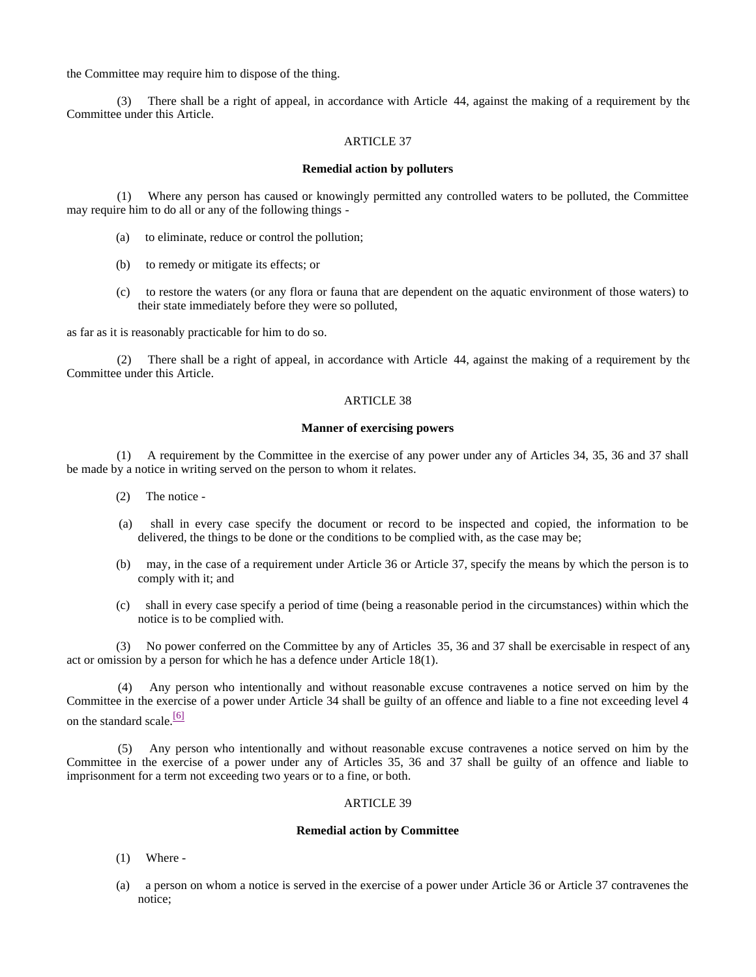the Committee may require him to dispose of the thing.

There shall be a right of appeal, in accordance with Article 44, against the making of a requirement by the Committee under this Article.

### ARTICLE 37

### **Remedial action by polluters**

 (1) Where any person has caused or knowingly permitted any controlled waters to be polluted, the Committee may require him to do all or any of the following things -

- (a) to eliminate, reduce or control the pollution;
- (b) to remedy or mitigate its effects; or
- (c) to restore the waters (or any flora or fauna that are dependent on the aquatic environment of those waters) to their state immediately before they were so polluted,

as far as it is reasonably practicable for him to do so.

 (2) There shall be a right of appeal, in accordance with Article 44, against the making of a requirement by the Committee under this Article.

# ARTICLE 38

# **Manner of exercising powers**

 (1) A requirement by the Committee in the exercise of any power under any of Articles 34, 35, 36 and 37 shall be made by a notice in writing served on the person to whom it relates.

- (2) The notice -
- (a) shall in every case specify the document or record to be inspected and copied, the information to be delivered, the things to be done or the conditions to be complied with, as the case may be;
- (b) may, in the case of a requirement under Article 36 or Article 37, specify the means by which the person is to comply with it; and
- (c) shall in every case specify a period of time (being a reasonable period in the circumstances) within which the notice is to be complied with.

 (3) No power conferred on the Committee by any of Articles 35, 36 and 37 shall be exercisable in respect of any act or omission by a person for which he has a defence under Article 18(1).

 (4) Any person who intentionally and without reasonable excuse contravenes a notice served on him by the Committee in the exercise of a power under Article 34 shall be guilty of an offence and liable to a fine not exceeding level 4 on the standard scale.<sup>[6]</sup>

 (5) Any person who intentionally and without reasonable excuse contravenes a notice served on him by the Committee in the exercise of a power under any of Articles 35, 36 and 37 shall be guilty of an offence and liable to imprisonment for a term not exceeding two years or to a fine, or both.

#### ARTICLE 39

#### **Remedial action by Committee**

- (1) Where -
- (a) a person on whom a notice is served in the exercise of a power under Article 36 or Article 37 contravenes the notice;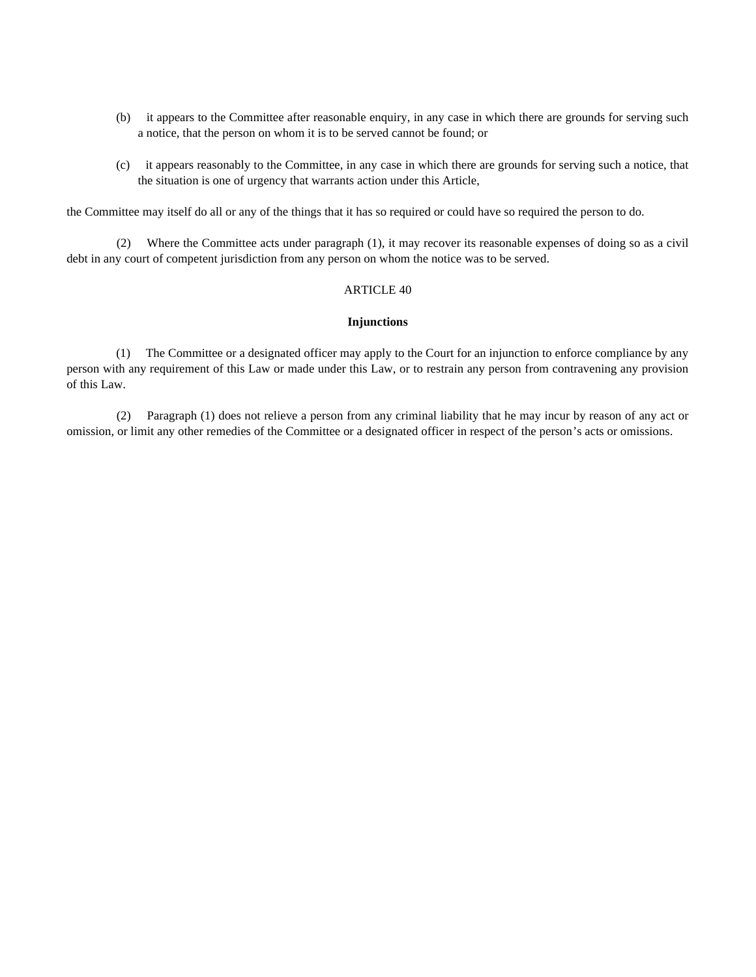- (b) it appears to the Committee after reasonable enquiry, in any case in which there are grounds for serving such a notice, that the person on whom it is to be served cannot be found; or
- (c) it appears reasonably to the Committee, in any case in which there are grounds for serving such a notice, that the situation is one of urgency that warrants action under this Article,

the Committee may itself do all or any of the things that it has so required or could have so required the person to do.

 (2) Where the Committee acts under paragraph (1), it may recover its reasonable expenses of doing so as a civil debt in any court of competent jurisdiction from any person on whom the notice was to be served.

# ARTICLE 40

#### **Injunctions**

 (1) The Committee or a designated officer may apply to the Court for an injunction to enforce compliance by any person with any requirement of this Law or made under this Law, or to restrain any person from contravening any provision of this Law.

 (2) Paragraph (1) does not relieve a person from any criminal liability that he may incur by reason of any act or omission, or limit any other remedies of the Committee or a designated officer in respect of the person's acts or omissions.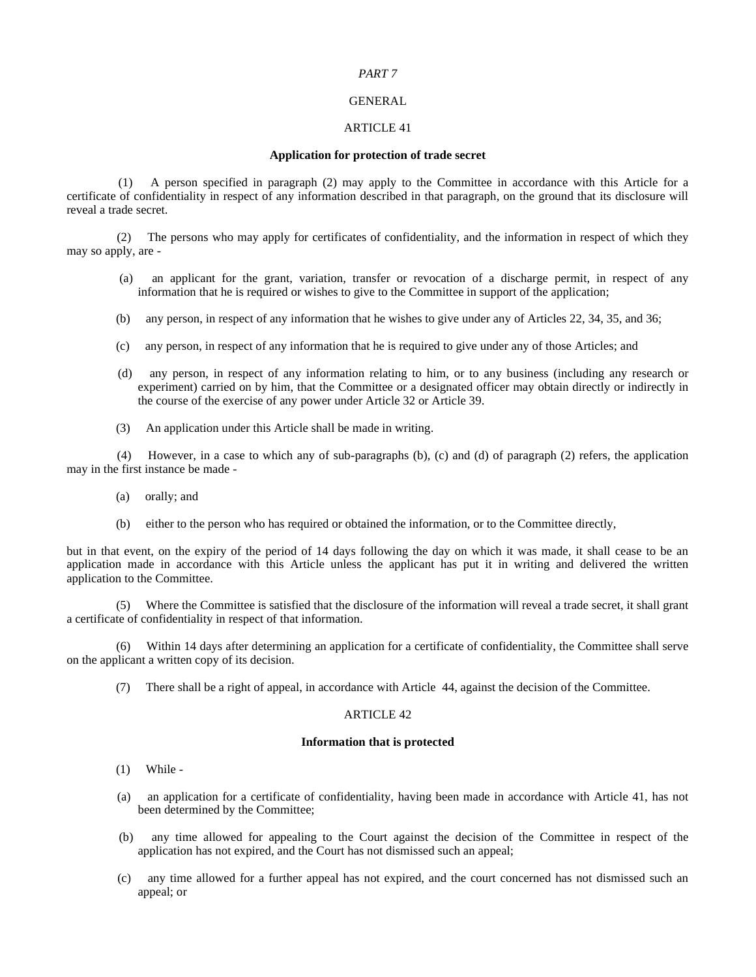### *PART 7*

# GENERAL

### ARTICLE 41

#### **Application for protection of trade secret**

 (1) A person specified in paragraph (2) may apply to the Committee in accordance with this Article for a certificate of confidentiality in respect of any information described in that paragraph, on the ground that its disclosure will reveal a trade secret.

 (2) The persons who may apply for certificates of confidentiality, and the information in respect of which they may so apply, are -

- (a) an applicant for the grant, variation, transfer or revocation of a discharge permit, in respect of any information that he is required or wishes to give to the Committee in support of the application;
- (b) any person, in respect of any information that he wishes to give under any of Articles 22, 34, 35, and 36;
- (c) any person, in respect of any information that he is required to give under any of those Articles; and
- (d) any person, in respect of any information relating to him, or to any business (including any research or experiment) carried on by him, that the Committee or a designated officer may obtain directly or indirectly in the course of the exercise of any power under Article 32 or Article 39.
- (3) An application under this Article shall be made in writing.

 (4) However, in a case to which any of sub-paragraphs (b), (c) and (d) of paragraph (2) refers, the application may in the first instance be made -

- (a) orally; and
- (b) either to the person who has required or obtained the information, or to the Committee directly,

but in that event, on the expiry of the period of 14 days following the day on which it was made, it shall cease to be an application made in accordance with this Article unless the applicant has put it in writing and delivered the written application to the Committee.

 (5) Where the Committee is satisfied that the disclosure of the information will reveal a trade secret, it shall grant a certificate of confidentiality in respect of that information.

 (6) Within 14 days after determining an application for a certificate of confidentiality, the Committee shall serve on the applicant a written copy of its decision.

(7) There shall be a right of appeal, in accordance with Article 44, against the decision of the Committee.

## ARTICLE 42

### **Information that is protected**

- (1) While -
- (a) an application for a certificate of confidentiality, having been made in accordance with Article 41, has not been determined by the Committee;
- (b) any time allowed for appealing to the Court against the decision of the Committee in respect of the application has not expired, and the Court has not dismissed such an appeal;
- (c) any time allowed for a further appeal has not expired, and the court concerned has not dismissed such an appeal; or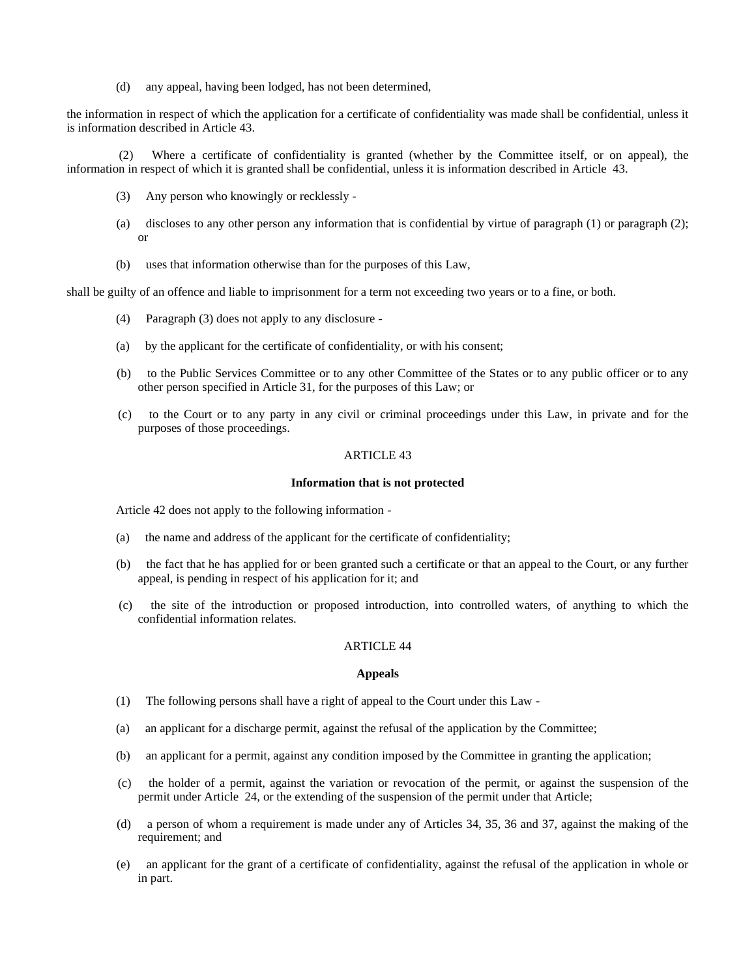(d) any appeal, having been lodged, has not been determined,

the information in respect of which the application for a certificate of confidentiality was made shall be confidential, unless it is information described in Article 43.

 (2) Where a certificate of confidentiality is granted (whether by the Committee itself, or on appeal), the information in respect of which it is granted shall be confidential, unless it is information described in Article 43.

- (3) Any person who knowingly or recklessly -
- (a) discloses to any other person any information that is confidential by virtue of paragraph (1) or paragraph (2); or
- (b) uses that information otherwise than for the purposes of this Law,

shall be guilty of an offence and liable to imprisonment for a term not exceeding two years or to a fine, or both.

- (4) Paragraph (3) does not apply to any disclosure -
- (a) by the applicant for the certificate of confidentiality, or with his consent;
- (b) to the Public Services Committee or to any other Committee of the States or to any public officer or to any other person specified in Article 31, for the purposes of this Law; or
- (c) to the Court or to any party in any civil or criminal proceedings under this Law, in private and for the purposes of those proceedings.

### ARTICLE 43

# **Information that is not protected**

Article 42 does not apply to the following information -

- (a) the name and address of the applicant for the certificate of confidentiality;
- (b) the fact that he has applied for or been granted such a certificate or that an appeal to the Court, or any further appeal, is pending in respect of his application for it; and
- (c) the site of the introduction or proposed introduction, into controlled waters, of anything to which the confidential information relates.

# ARTICLE 44

### **Appeals**

- (1) The following persons shall have a right of appeal to the Court under this Law -
- (a) an applicant for a discharge permit, against the refusal of the application by the Committee;
- (b) an applicant for a permit, against any condition imposed by the Committee in granting the application;
- (c) the holder of a permit, against the variation or revocation of the permit, or against the suspension of the permit under Article 24, or the extending of the suspension of the permit under that Article;
- (d) a person of whom a requirement is made under any of Articles 34, 35, 36 and 37, against the making of the requirement; and
- (e) an applicant for the grant of a certificate of confidentiality, against the refusal of the application in whole or in part.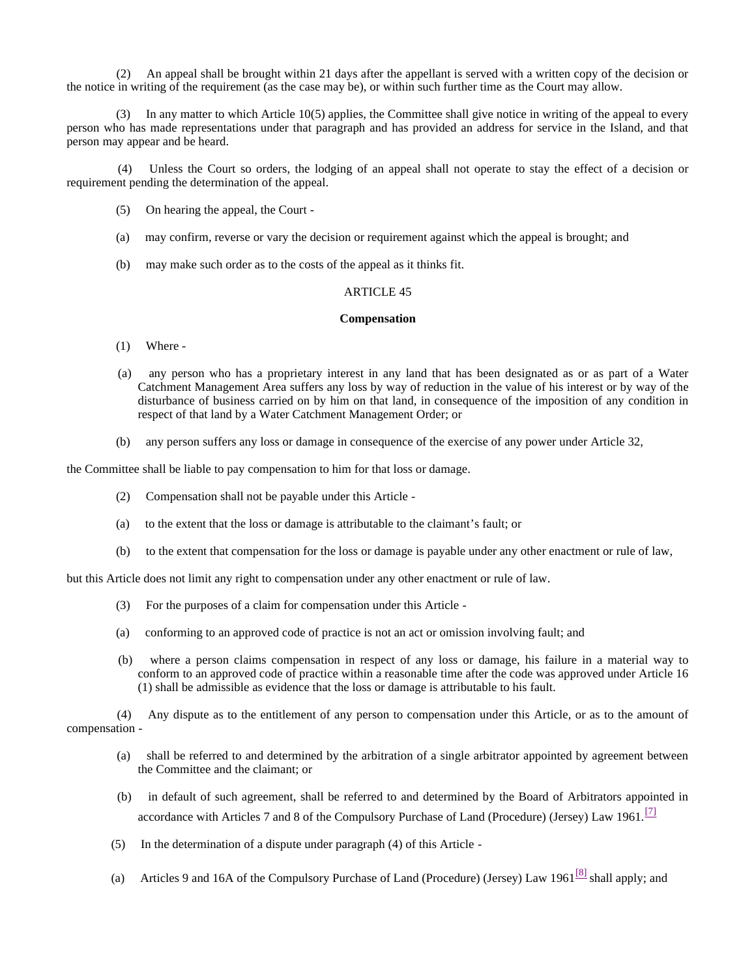(2) An appeal shall be brought within 21 days after the appellant is served with a written copy of the decision or the notice in writing of the requirement (as the case may be), or within such further time as the Court may allow.

 (3) In any matter to which Article 10(5) applies, the Committee shall give notice in writing of the appeal to every person who has made representations under that paragraph and has provided an address for service in the Island, and that person may appear and be heard.

 (4) Unless the Court so orders, the lodging of an appeal shall not operate to stay the effect of a decision or requirement pending the determination of the appeal.

- (5) On hearing the appeal, the Court -
- (a) may confirm, reverse or vary the decision or requirement against which the appeal is brought; and
- (b) may make such order as to the costs of the appeal as it thinks fit.

# ARTICLE 45

#### **Compensation**

- (1) Where -
- (a) any person who has a proprietary interest in any land that has been designated as or as part of a Water Catchment Management Area suffers any loss by way of reduction in the value of his interest or by way of the disturbance of business carried on by him on that land, in consequence of the imposition of any condition in respect of that land by a Water Catchment Management Order; or
- (b) any person suffers any loss or damage in consequence of the exercise of any power under Article 32,

the Committee shall be liable to pay compensation to him for that loss or damage.

- (2) Compensation shall not be payable under this Article -
- (a) to the extent that the loss or damage is attributable to the claimant's fault; or
- (b) to the extent that compensation for the loss or damage is payable under any other enactment or rule of law,

but this Article does not limit any right to compensation under any other enactment or rule of law.

- (3) For the purposes of a claim for compensation under this Article -
- (a) conforming to an approved code of practice is not an act or omission involving fault; and
- (b) where a person claims compensation in respect of any loss or damage, his failure in a material way to conform to an approved code of practice within a reasonable time after the code was approved under Article 16 (1) shall be admissible as evidence that the loss or damage is attributable to his fault.

 (4) Any dispute as to the entitlement of any person to compensation under this Article, or as to the amount of compensation -

- (a) shall be referred to and determined by the arbitration of a single arbitrator appointed by agreement between the Committee and the claimant; or
- (b) in default of such agreement, shall be referred to and determined by the Board of Arbitrators appointed in accordance with Articles 7 and 8 of the Compulsory Purchase of Land (Procedure) (Jersey) Law 1961.<sup>[7]</sup>
- (5) In the determination of a dispute under paragraph (4) of this Article -
- (a) Articles 9 and 16A of the Compulsory Purchase of Land (Procedure) (Jersey) Law 1961<sup>[8]</sup> shall apply; and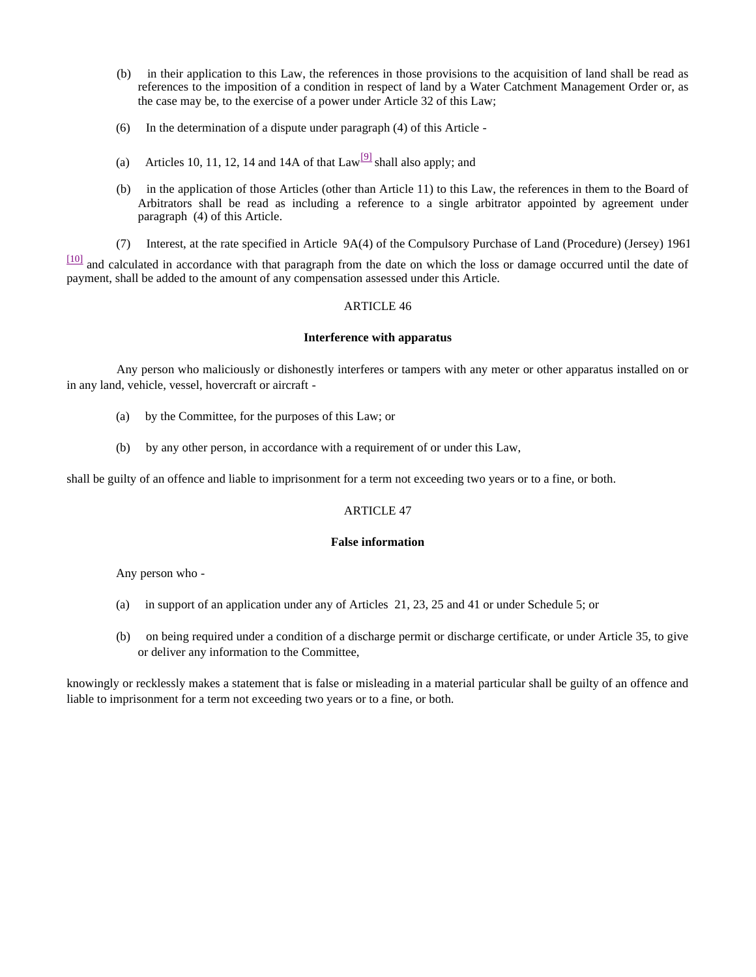- (b) in their application to this Law, the references in those provisions to the acquisition of land shall be read as references to the imposition of a condition in respect of land by a Water Catchment Management Order or, as the case may be, to the exercise of a power under Article 32 of this Law;
- (6) In the determination of a dispute under paragraph (4) of this Article -
- (a) Articles 10, 11, 12, 14 and 14A of that  $Law^{[9]}$  shall also apply; and
- (b) in the application of those Articles (other than Article 11) to this Law, the references in them to the Board of Arbitrators shall be read as including a reference to a single arbitrator appointed by agreement under paragraph (4) of this Article.
- (7) Interest, at the rate specified in Article 9A(4) of the Compulsory Purchase of Land (Procedure) (Jersey) 1961

[10] and calculated in accordance with that paragraph from the date on which the loss or damage occurred until the date of payment, shall be added to the amount of any compensation assessed under this Article.

# ARTICLE 46

# **Interference with apparatus**

 Any person who maliciously or dishonestly interferes or tampers with any meter or other apparatus installed on or in any land, vehicle, vessel, hovercraft or aircraft -

- (a) by the Committee, for the purposes of this Law; or
- (b) by any other person, in accordance with a requirement of or under this Law,

shall be guilty of an offence and liable to imprisonment for a term not exceeding two years or to a fine, or both.

# ARTICLE 47

# **False information**

Any person who -

- (a) in support of an application under any of Articles 21, 23, 25 and 41 or under Schedule 5; or
- (b) on being required under a condition of a discharge permit or discharge certificate, or under Article 35, to give or deliver any information to the Committee,

knowingly or recklessly makes a statement that is false or misleading in a material particular shall be guilty of an offence and liable to imprisonment for a term not exceeding two years or to a fine, or both.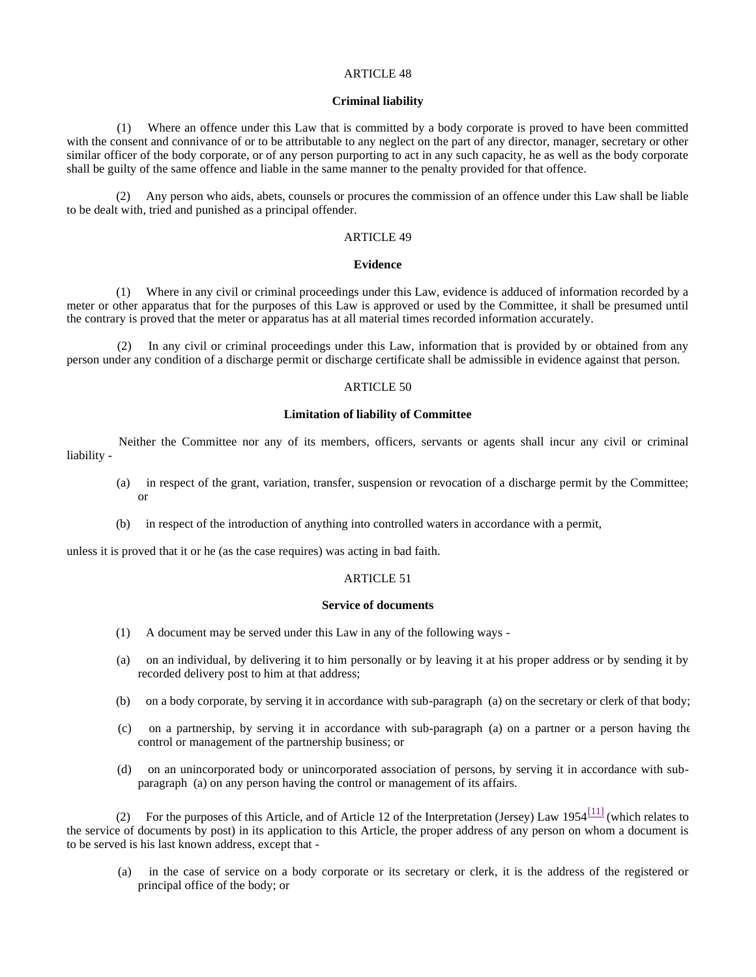#### **Criminal liability**

 (1) Where an offence under this Law that is committed by a body corporate is proved to have been committed with the consent and connivance of or to be attributable to any neglect on the part of any director, manager, secretary or other similar officer of the body corporate, or of any person purporting to act in any such capacity, he as well as the body corporate shall be guilty of the same offence and liable in the same manner to the penalty provided for that offence.

 (2) Any person who aids, abets, counsels or procures the commission of an offence under this Law shall be liable to be dealt with, tried and punished as a principal offender.

# ARTICLE 49

# **Evidence**

 (1) Where in any civil or criminal proceedings under this Law, evidence is adduced of information recorded by a meter or other apparatus that for the purposes of this Law is approved or used by the Committee, it shall be presumed until the contrary is proved that the meter or apparatus has at all material times recorded information accurately.

 (2) In any civil or criminal proceedings under this Law, information that is provided by or obtained from any person under any condition of a discharge permit or discharge certificate shall be admissible in evidence against that person.

# ARTICLE 50

# **Limitation of liability of Committee**

 Neither the Committee nor any of its members, officers, servants or agents shall incur any civil or criminal liability -

- (a) in respect of the grant, variation, transfer, suspension or revocation of a discharge permit by the Committee; or
- (b) in respect of the introduction of anything into controlled waters in accordance with a permit,

unless it is proved that it or he (as the case requires) was acting in bad faith.

# ARTICLE 51

### **Service of documents**

- (1) A document may be served under this Law in any of the following ways -
- (a) on an individual, by delivering it to him personally or by leaving it at his proper address or by sending it by recorded delivery post to him at that address;
- (b) on a body corporate, by serving it in accordance with sub-paragraph (a) on the secretary or clerk of that body;
- (c) on a partnership, by serving it in accordance with sub-paragraph (a) on a partner or a person having the control or management of the partnership business; or
- (d) on an unincorporated body or unincorporated association of persons, by serving it in accordance with subparagraph (a) on any person having the control or management of its affairs.

(2) For the purposes of this Article, and of Article 12 of the Interpretation (Jersey) Law 1954 $\frac{[11]}{[11]}$  (which relates to the service of documents by post) in its application to this Article, the proper address of any person on whom a document is to be served is his last known address, except that -

 (a) in the case of service on a body corporate or its secretary or clerk, it is the address of the registered or principal office of the body; or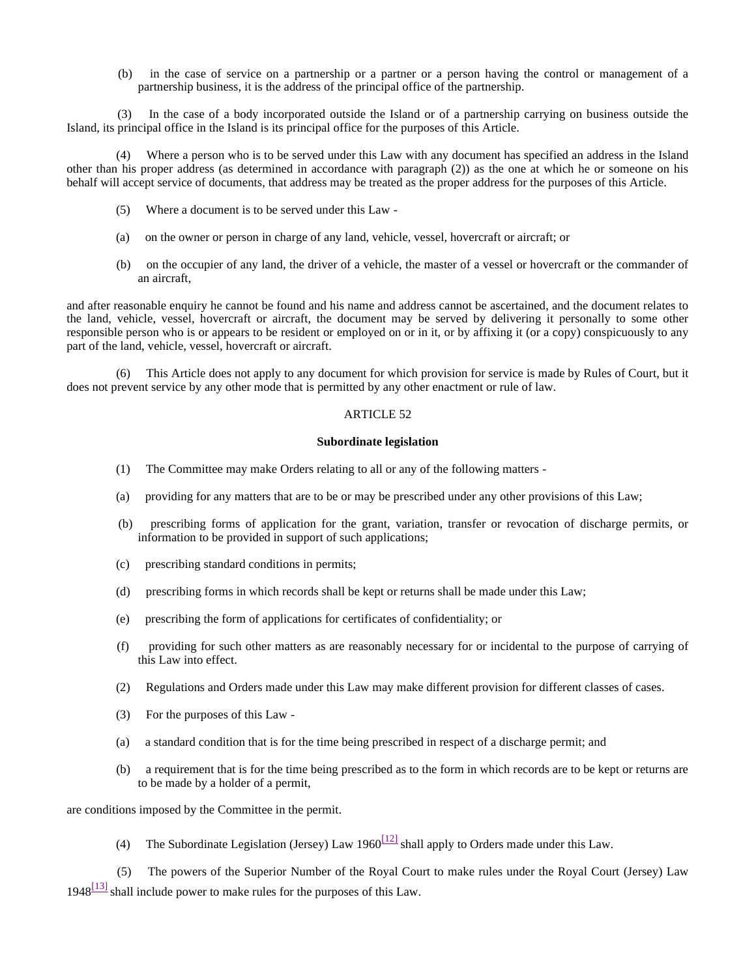(b) in the case of service on a partnership or a partner or a person having the control or management of a partnership business, it is the address of the principal office of the partnership.

 (3) In the case of a body incorporated outside the Island or of a partnership carrying on business outside the Island, its principal office in the Island is its principal office for the purposes of this Article.

 (4) Where a person who is to be served under this Law with any document has specified an address in the Island other than his proper address (as determined in accordance with paragraph (2)) as the one at which he or someone on his behalf will accept service of documents, that address may be treated as the proper address for the purposes of this Article.

- (5) Where a document is to be served under this Law -
- (a) on the owner or person in charge of any land, vehicle, vessel, hovercraft or aircraft; or
- (b) on the occupier of any land, the driver of a vehicle, the master of a vessel or hovercraft or the commander of an aircraft,

and after reasonable enquiry he cannot be found and his name and address cannot be ascertained, and the document relates to the land, vehicle, vessel, hovercraft or aircraft, the document may be served by delivering it personally to some other responsible person who is or appears to be resident or employed on or in it, or by affixing it (or a copy) conspicuously to any part of the land, vehicle, vessel, hovercraft or aircraft.

 (6) This Article does not apply to any document for which provision for service is made by Rules of Court, but it does not prevent service by any other mode that is permitted by any other enactment or rule of law.

# ARTICLE 52

### **Subordinate legislation**

- (1) The Committee may make Orders relating to all or any of the following matters -
- (a) providing for any matters that are to be or may be prescribed under any other provisions of this Law;
- (b) prescribing forms of application for the grant, variation, transfer or revocation of discharge permits, or information to be provided in support of such applications;
- (c) prescribing standard conditions in permits;
- (d) prescribing forms in which records shall be kept or returns shall be made under this Law;
- (e) prescribing the form of applications for certificates of confidentiality; or
- (f) providing for such other matters as are reasonably necessary for or incidental to the purpose of carrying of this Law into effect.
- (2) Regulations and Orders made under this Law may make different provision for different classes of cases.
- (3) For the purposes of this Law -
- (a) a standard condition that is for the time being prescribed in respect of a discharge permit; and
- (b) a requirement that is for the time being prescribed as to the form in which records are to be kept or returns are to be made by a holder of a permit,

are conditions imposed by the Committee in the permit.

(4) The Subordinate Legislation (Jersey) Law 1960<sup>[12]</sup> shall apply to Orders made under this Law.

 (5) The powers of the Superior Number of the Royal Court to make rules under the Royal Court (Jersey) Law  $1948^{[13]}$  shall include power to make rules for the purposes of this Law.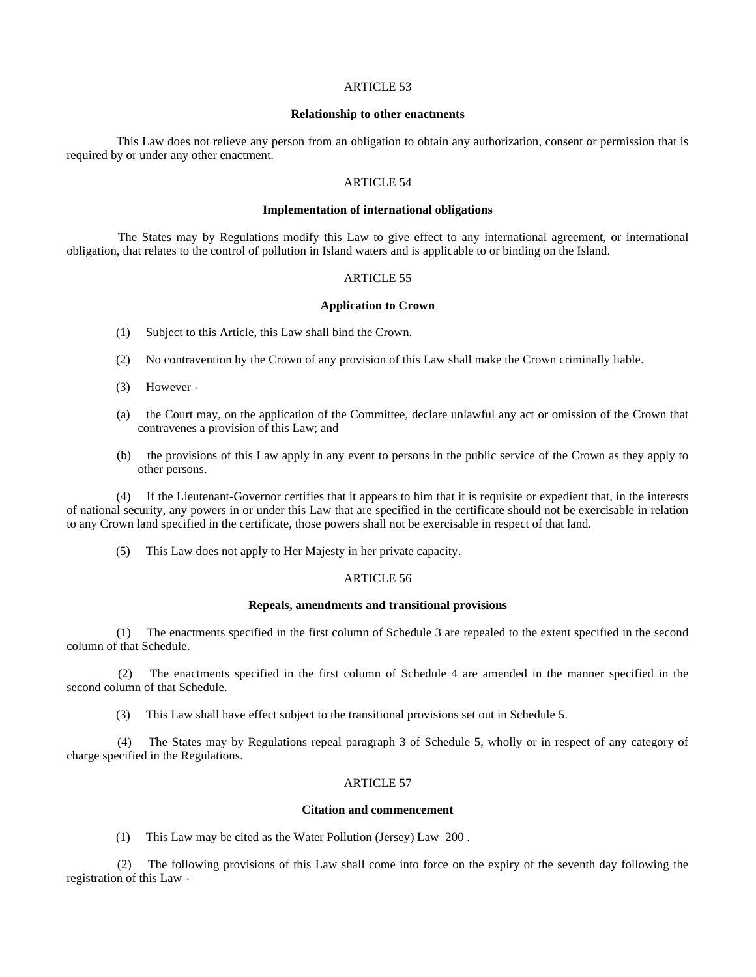### **Relationship to other enactments**

 This Law does not relieve any person from an obligation to obtain any authorization, consent or permission that is required by or under any other enactment.

# ARTICLE 54

### **Implementation of international obligations**

 The States may by Regulations modify this Law to give effect to any international agreement, or international obligation, that relates to the control of pollution in Island waters and is applicable to or binding on the Island.

# ARTICLE 55

#### **Application to Crown**

- (1) Subject to this Article, this Law shall bind the Crown.
- (2) No contravention by the Crown of any provision of this Law shall make the Crown criminally liable.
- (3) However -
- (a) the Court may, on the application of the Committee, declare unlawful any act or omission of the Crown that contravenes a provision of this Law; and
- (b) the provisions of this Law apply in any event to persons in the public service of the Crown as they apply to other persons.

 (4) If the Lieutenant-Governor certifies that it appears to him that it is requisite or expedient that, in the interests of national security, any powers in or under this Law that are specified in the certificate should not be exercisable in relation to any Crown land specified in the certificate, those powers shall not be exercisable in respect of that land.

(5) This Law does not apply to Her Majesty in her private capacity.

# ARTICLE 56

#### **Repeals, amendments and transitional provisions**

 (1) The enactments specified in the first column of Schedule 3 are repealed to the extent specified in the second column of that Schedule.

 (2) The enactments specified in the first column of Schedule 4 are amended in the manner specified in the second column of that Schedule.

(3) This Law shall have effect subject to the transitional provisions set out in Schedule 5.

 (4) The States may by Regulations repeal paragraph 3 of Schedule 5, wholly or in respect of any category of charge specified in the Regulations.

# ARTICLE 57

#### **Citation and commencement**

(1) This Law may be cited as the Water Pollution (Jersey) Law 200 .

 (2) The following provisions of this Law shall come into force on the expiry of the seventh day following the registration of this Law -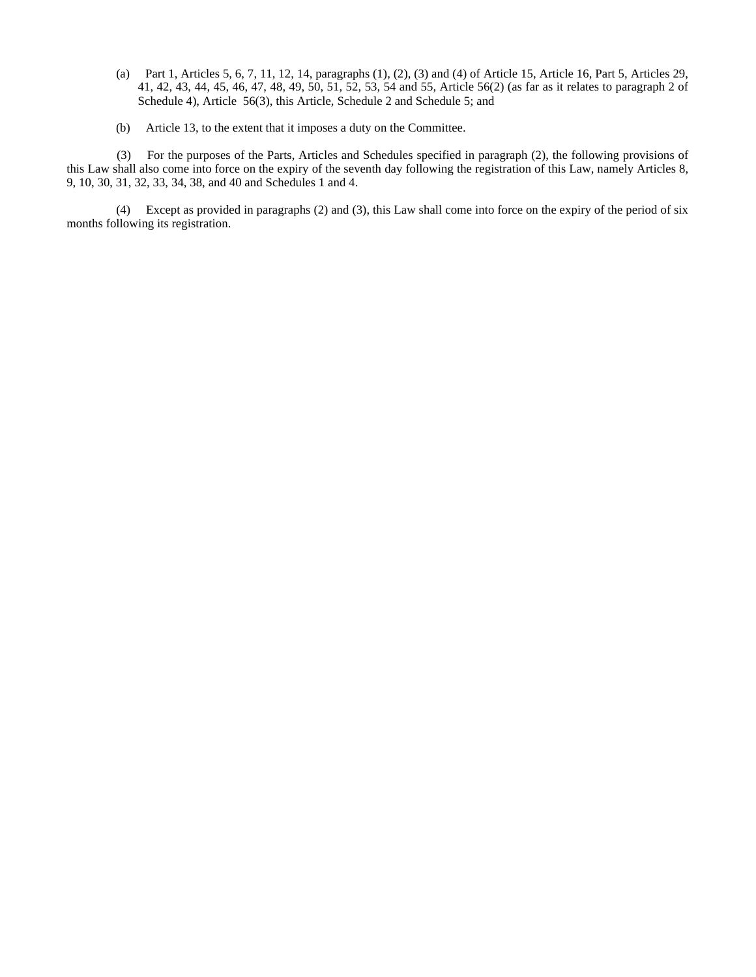- (a) Part 1, Articles 5, 6, 7, 11, 12, 14, paragraphs (1), (2), (3) and (4) of Article 15, Article 16, Part 5, Articles 29, 41, 42, 43, 44, 45, 46, 47, 48, 49, 50, 51, 52, 53, 54 and 55, Article 56(2) (as far as it relates to paragraph 2 of Schedule 4), Article 56(3), this Article, Schedule 2 and Schedule 5; and
- (b) Article 13, to the extent that it imposes a duty on the Committee.

 (3) For the purposes of the Parts, Articles and Schedules specified in paragraph (2), the following provisions of this Law shall also come into force on the expiry of the seventh day following the registration of this Law, namely Articles 8, 9, 10, 30, 31, 32, 33, 34, 38, and 40 and Schedules 1 and 4.

 (4) Except as provided in paragraphs (2) and (3), this Law shall come into force on the expiry of the period of six months following its registration.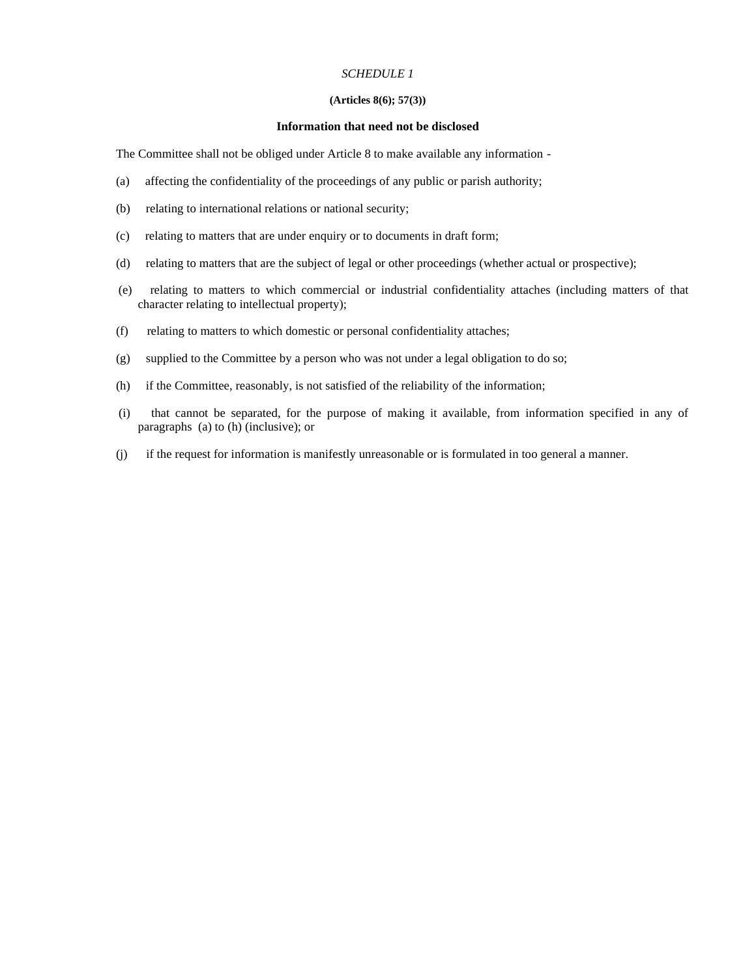# **(Articles 8(6); 57(3))**

#### **Information that need not be disclosed**

The Committee shall not be obliged under Article 8 to make available any information -

- (a) affecting the confidentiality of the proceedings of any public or parish authority;
- (b) relating to international relations or national security;
- (c) relating to matters that are under enquiry or to documents in draft form;
- (d) relating to matters that are the subject of legal or other proceedings (whether actual or prospective);
- (e) relating to matters to which commercial or industrial confidentiality attaches (including matters of that character relating to intellectual property);
- (f) relating to matters to which domestic or personal confidentiality attaches;
- (g) supplied to the Committee by a person who was not under a legal obligation to do so;
- (h) if the Committee, reasonably, is not satisfied of the reliability of the information;
- (i) that cannot be separated, for the purpose of making it available, from information specified in any of paragraphs (a) to (h) (inclusive); or
- (j) if the request for information is manifestly unreasonable or is formulated in too general a manner.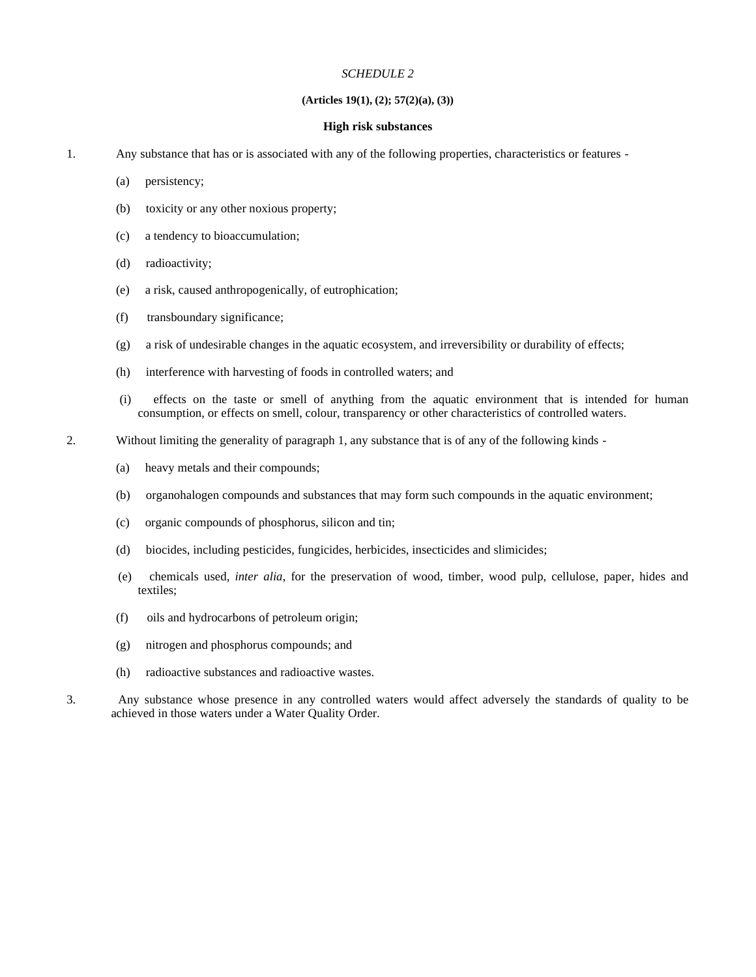# **(Articles 19(1), (2); 57(2)(a), (3))**

### **High risk substances**

- 1. Any substance that has or is associated with any of the following properties, characteristics or features
	- (a) persistency;
	- (b) toxicity or any other noxious property;
	- (c) a tendency to bioaccumulation;
	- (d) radioactivity;
	- (e) a risk, caused anthropogenically, of eutrophication;
	- (f) transboundary significance;
	- (g) a risk of undesirable changes in the aquatic ecosystem, and irreversibility or durability of effects;
	- (h) interference with harvesting of foods in controlled waters; and
	- (i) effects on the taste or smell of anything from the aquatic environment that is intended for human consumption, or effects on smell, colour, transparency or other characteristics of controlled waters.
- 2. Without limiting the generality of paragraph 1, any substance that is of any of the following kinds
	- (a) heavy metals and their compounds;
	- (b) organohalogen compounds and substances that may form such compounds in the aquatic environment;
	- (c) organic compounds of phosphorus, silicon and tin;
	- (d) biocides, including pesticides, fungicides, herbicides, insecticides and slimicides;
	- (e) chemicals used, *inter alia*, for the preservation of wood, timber, wood pulp, cellulose, paper, hides and textiles;
	- (f) oils and hydrocarbons of petroleum origin;
	- (g) nitrogen and phosphorus compounds; and
	- (h) radioactive substances and radioactive wastes.
- 3. Any substance whose presence in any controlled waters would affect adversely the standards of quality to be achieved in those waters under a Water Quality Order.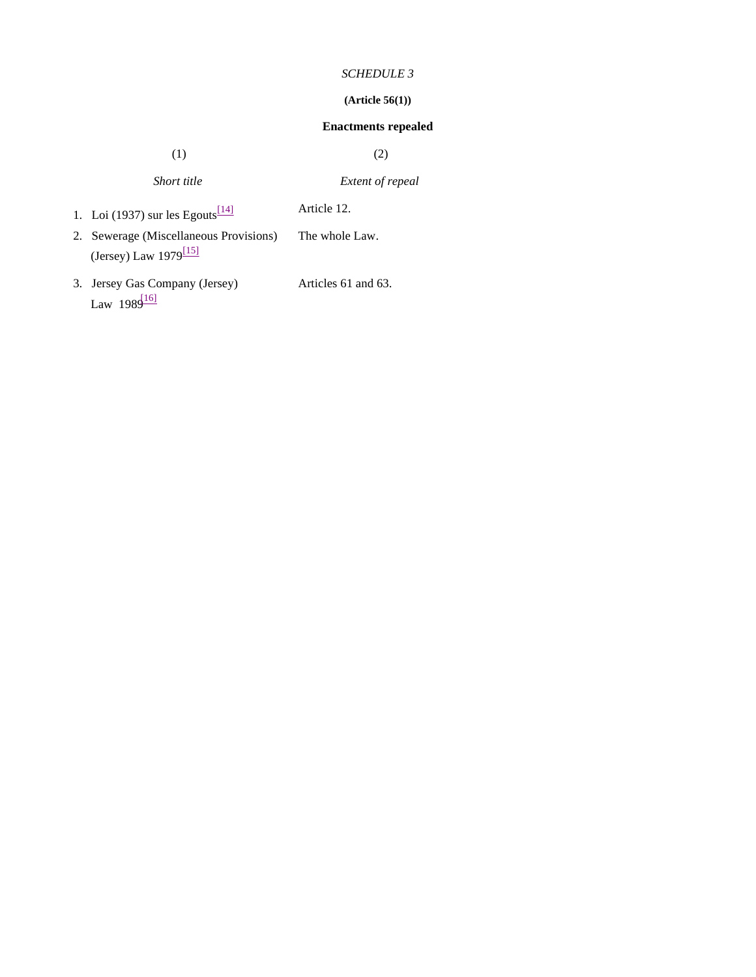# **(Article 56(1))**

# **Enactments repealed**

 $(1)$  (2)

| Short title | <i>Extent of repeal</i> |
|-------------|-------------------------|
|             |                         |

- 1. Loi (1937) sur les Egouts $\frac{114}{14}$  Article 12.
- 2. Sewerage (Miscellaneous Provisions) (Jersey) Law  $1979^{\boxed{15}}$ The whole Law.
- 3. Jersey Gas Company (Jersey) Law  $1989^{16}$

Articles 61 and 63.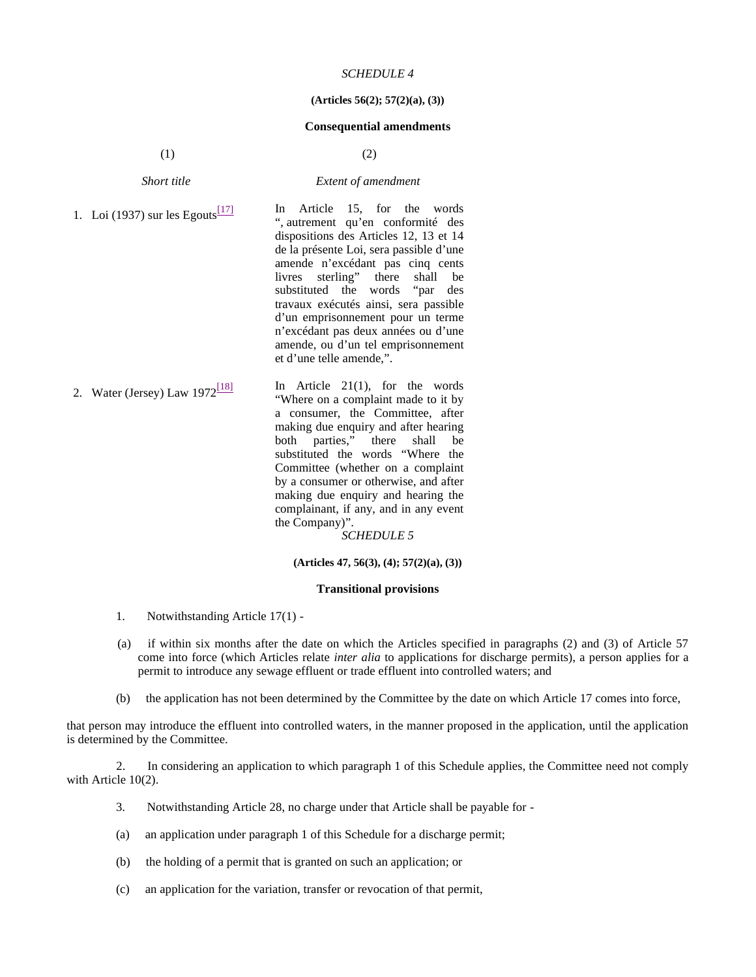#### **(Articles 56(2); 57(2)(a), (3))**

#### **Consequential amendments**

 $(1)$  (2)

*Short title Extent of amendment*

1. Loi (1937) sur les Egouts $\frac{17}{7}$  In Article 15, for the words ", autrement qu'en conformité des dispositions des Articles 12, 13 et 14 de la présente Loi, sera passible d'une amende n'excédant pas cinq cents livres sterling" there shall be substituted the words "par des travaux exécutés ainsi, sera passible d'un emprisonnement pour un terme n'excédant pas deux années ou d'une amende, ou d'un tel emprisonnement et d'une telle amende,". 2. Water (Jersey) Law  $1972^{[18]}$  In Article 21(1), for the words "Where on a complaint made to it by

a consumer, the Committee, after making due enquiry and after hearing<br>both parties," there shall be there shall be substituted the words "Where the Committee (whether on a complaint by a consumer or otherwise, and after making due enquiry and hearing the complainant, if any, and in any event the Company)".

*SCHEDULE 5*

# **(Articles 47, 56(3), (4); 57(2)(a), (3))**

#### **Transitional provisions**

- 1. Notwithstanding Article 17(1) -
- (a) if within six months after the date on which the Articles specified in paragraphs (2) and (3) of Article 57 come into force (which Articles relate *inter alia* to applications for discharge permits), a person applies for a permit to introduce any sewage effluent or trade effluent into controlled waters; and
- (b) the application has not been determined by the Committee by the date on which Article 17 comes into force,

that person may introduce the effluent into controlled waters, in the manner proposed in the application, until the application is determined by the Committee.

 2. In considering an application to which paragraph 1 of this Schedule applies, the Committee need not comply with Article 10(2).

- 3. Notwithstanding Article 28, no charge under that Article shall be payable for -
- (a) an application under paragraph 1 of this Schedule for a discharge permit;
- (b) the holding of a permit that is granted on such an application; or
- (c) an application for the variation, transfer or revocation of that permit,